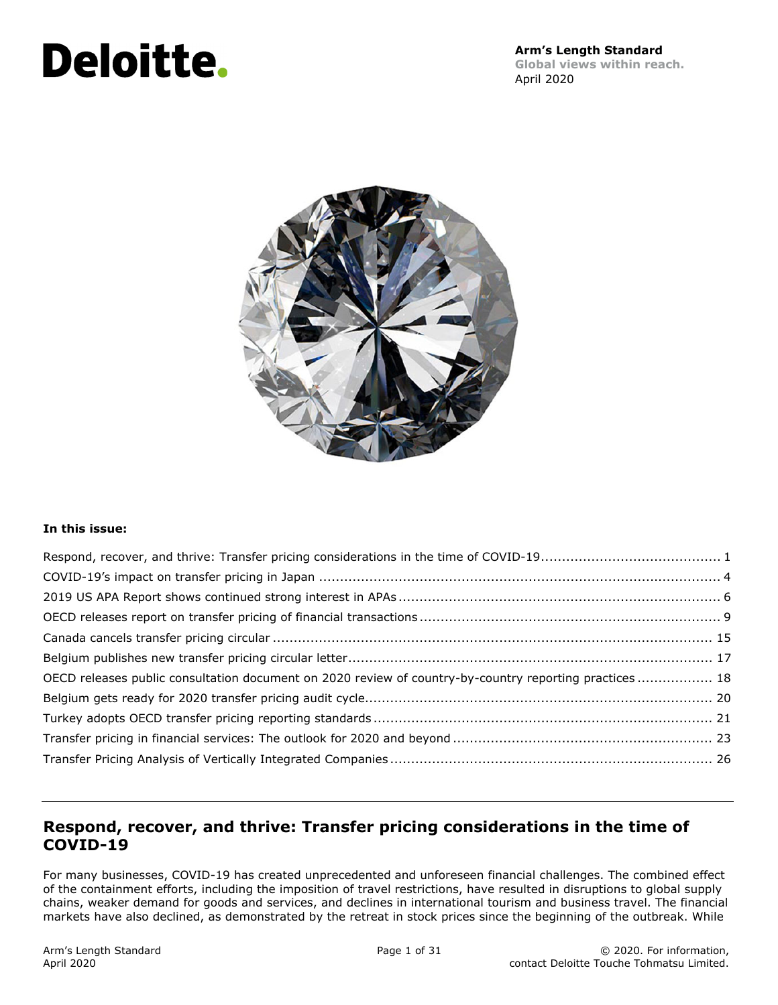# **Deloitte.**



#### **In this issue:**

| OECD releases public consultation document on 2020 review of country-by-country reporting practices  18 |  |
|---------------------------------------------------------------------------------------------------------|--|
|                                                                                                         |  |
|                                                                                                         |  |
|                                                                                                         |  |
|                                                                                                         |  |

## **Respond, recover, and thrive: Transfer pricing considerations in the time of COVID-19**

For many businesses, COVID-19 has created unprecedented and unforeseen financial challenges. The combined effect of the containment efforts, including the imposition of travel restrictions, have resulted in disruptions to global supply chains, weaker demand for goods and services, and declines in international tourism and business travel. The financial markets have also declined, as demonstrated by the retreat in stock prices since the beginning of the outbreak. While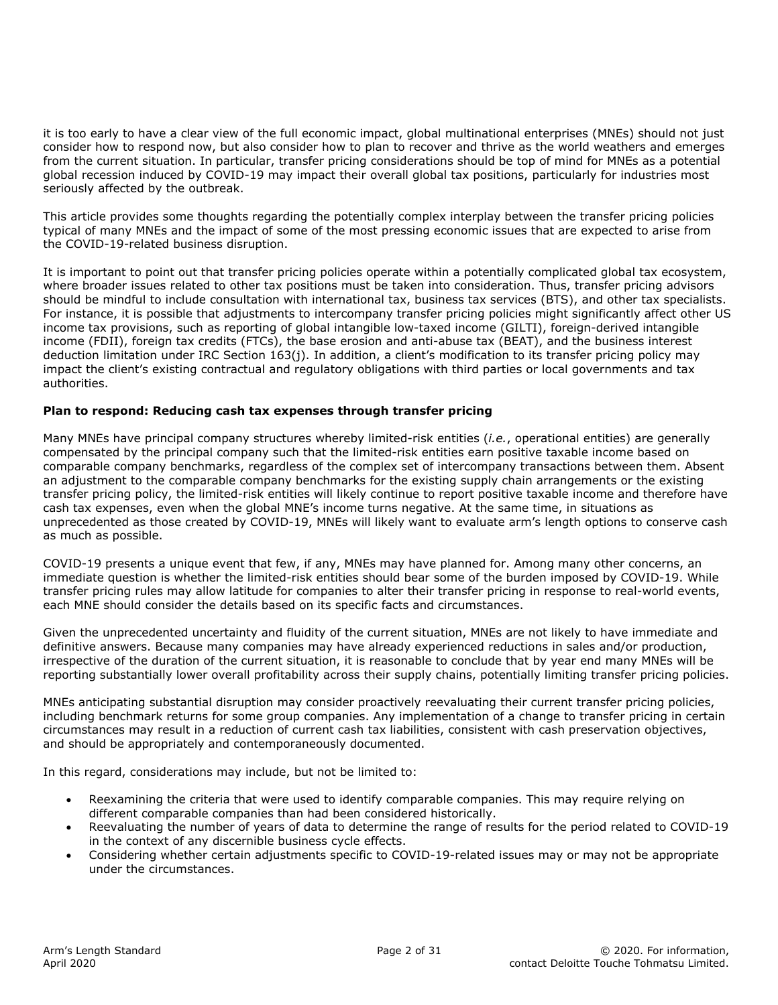it is too early to have a clear view of the full economic impact, global multinational enterprises (MNEs) should not just consider how to respond now, but also consider how to plan to recover and thrive as the world weathers and emerges from the current situation. In particular, transfer pricing considerations should be top of mind for MNEs as a potential global recession induced by COVID-19 may impact their overall global tax positions, particularly for industries most seriously affected by the outbreak.

This article provides some thoughts regarding the potentially complex interplay between the transfer pricing policies typical of many MNEs and the impact of some of the most pressing economic issues that are expected to arise from the COVID-19-related business disruption.

It is important to point out that transfer pricing policies operate within a potentially complicated global tax ecosystem, where broader issues related to other tax positions must be taken into consideration. Thus, transfer pricing advisors should be mindful to include consultation with international tax, business tax services (BTS), and other tax specialists. For instance, it is possible that adjustments to intercompany transfer pricing policies might significantly affect other US income tax provisions, such as reporting of global intangible low-taxed income (GILTI), foreign-derived intangible income (FDII), foreign tax credits (FTCs), the base erosion and anti-abuse tax (BEAT), and the business interest deduction limitation under IRC Section 163(j). In addition, a client's modification to its transfer pricing policy may impact the client's existing contractual and regulatory obligations with third parties or local governments and tax authorities.

#### **Plan to respond: Reducing cash tax expenses through transfer pricing**

Many MNEs have principal company structures whereby limited-risk entities (*i.e.*, operational entities) are generally compensated by the principal company such that the limited-risk entities earn positive taxable income based on comparable company benchmarks, regardless of the complex set of intercompany transactions between them. Absent an adjustment to the comparable company benchmarks for the existing supply chain arrangements or the existing transfer pricing policy, the limited-risk entities will likely continue to report positive taxable income and therefore have cash tax expenses, even when the global MNE's income turns negative. At the same time, in situations as unprecedented as those created by COVID-19, MNEs will likely want to evaluate arm's length options to conserve cash as much as possible.

COVID-19 presents a unique event that few, if any, MNEs may have planned for. Among many other concerns, an immediate question is whether the limited-risk entities should bear some of the burden imposed by COVID-19. While transfer pricing rules may allow latitude for companies to alter their transfer pricing in response to real-world events, each MNE should consider the details based on its specific facts and circumstances.

Given the unprecedented uncertainty and fluidity of the current situation, MNEs are not likely to have immediate and definitive answers. Because many companies may have already experienced reductions in sales and/or production, irrespective of the duration of the current situation, it is reasonable to conclude that by year end many MNEs will be reporting substantially lower overall profitability across their supply chains, potentially limiting transfer pricing policies.

MNEs anticipating substantial disruption may consider proactively reevaluating their current transfer pricing policies, including benchmark returns for some group companies. Any implementation of a change to transfer pricing in certain circumstances may result in a reduction of current cash tax liabilities, consistent with cash preservation objectives, and should be appropriately and contemporaneously documented.

In this regard, considerations may include, but not be limited to:

- Reexamining the criteria that were used to identify comparable companies. This may require relying on different comparable companies than had been considered historically.
- Reevaluating the number of years of data to determine the range of results for the period related to COVID-19 in the context of any discernible business cycle effects.
- Considering whether certain adjustments specific to COVID-19-related issues may or may not be appropriate under the circumstances.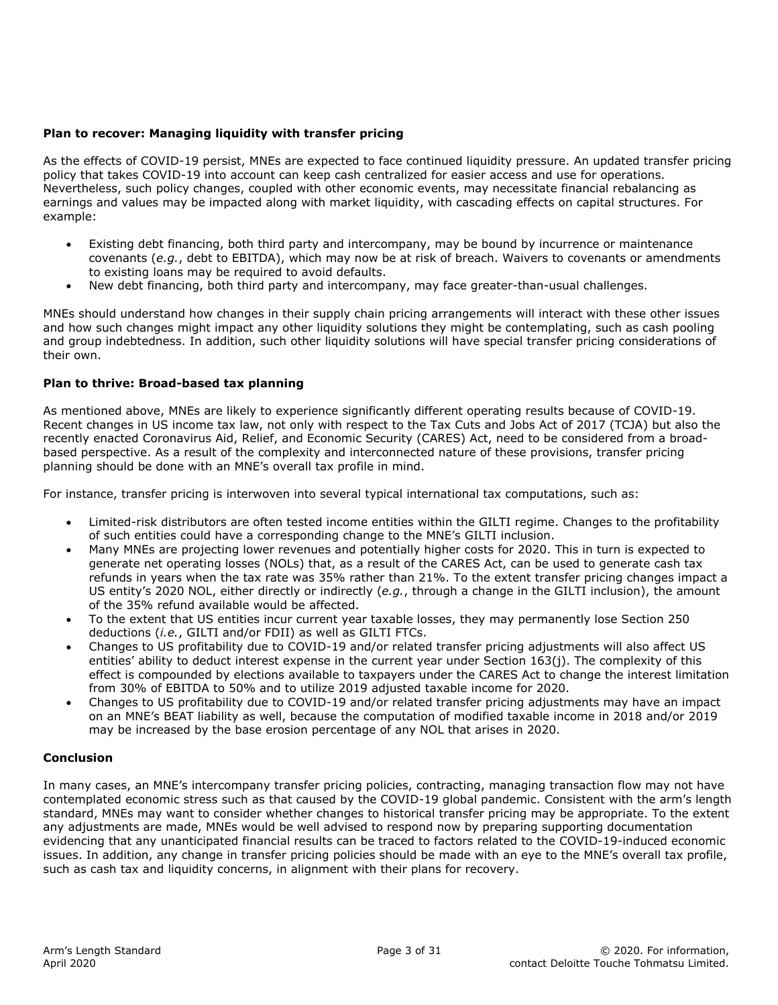#### **Plan to recover: Managing liquidity with transfer pricing**

As the effects of COVID-19 persist, MNEs are expected to face continued liquidity pressure. An updated transfer pricing policy that takes COVID-19 into account can keep cash centralized for easier access and use for operations. Nevertheless, such policy changes, coupled with other economic events, may necessitate financial rebalancing as earnings and values may be impacted along with market liquidity, with cascading effects on capital structures. For example:

- Existing debt financing, both third party and intercompany, may be bound by incurrence or maintenance covenants (*e.g.*, debt to EBITDA), which may now be at risk of breach. Waivers to covenants or amendments to existing loans may be required to avoid defaults.
- New debt financing, both third party and intercompany, may face greater-than-usual challenges.

MNEs should understand how changes in their supply chain pricing arrangements will interact with these other issues and how such changes might impact any other liquidity solutions they might be contemplating, such as cash pooling and group indebtedness. In addition, such other liquidity solutions will have special transfer pricing considerations of their own.

#### **Plan to thrive: Broad-based tax planning**

As mentioned above, MNEs are likely to experience significantly different operating results because of COVID-19. Recent changes in US income tax law, not only with respect to the Tax Cuts and Jobs Act of 2017 (TCJA) but also the recently enacted Coronavirus Aid, Relief, and Economic Security (CARES) Act, need to be considered from a broadbased perspective. As a result of the complexity and interconnected nature of these provisions, transfer pricing planning should be done with an MNE's overall tax profile in mind.

For instance, transfer pricing is interwoven into several typical international tax computations, such as:

- Limited-risk distributors are often tested income entities within the GILTI regime. Changes to the profitability of such entities could have a corresponding change to the MNE's GILTI inclusion.
- Many MNEs are projecting lower revenues and potentially higher costs for 2020. This in turn is expected to generate net operating losses (NOLs) that, as a result of the CARES Act, can be used to generate cash tax refunds in years when the tax rate was 35% rather than 21%. To the extent transfer pricing changes impact a US entity's 2020 NOL, either directly or indirectly (*e.g.*, through a change in the GILTI inclusion), the amount of the 35% refund available would be affected.
- To the extent that US entities incur current year taxable losses, they may permanently lose Section 250 deductions (*i.e.*, GILTI and/or FDII) as well as GILTI FTCs.
- Changes to US profitability due to COVID-19 and/or related transfer pricing adjustments will also affect US entities' ability to deduct interest expense in the current year under Section 163(j). The complexity of this effect is compounded by elections available to taxpayers under the CARES Act to change the interest limitation from 30% of EBITDA to 50% and to utilize 2019 adjusted taxable income for 2020.
- Changes to US profitability due to COVID-19 and/or related transfer pricing adjustments may have an impact on an MNE's BEAT liability as well, because the computation of modified taxable income in 2018 and/or 2019 may be increased by the base erosion percentage of any NOL that arises in 2020.

#### **Conclusion**

In many cases, an MNE's intercompany transfer pricing policies, contracting, managing transaction flow may not have contemplated economic stress such as that caused by the COVID-19 global pandemic. Consistent with the arm's length standard, MNEs may want to consider whether changes to historical transfer pricing may be appropriate. To the extent any adjustments are made, MNEs would be well advised to respond now by preparing supporting documentation evidencing that any unanticipated financial results can be traced to factors related to the COVID-19-induced economic issues. In addition, any change in transfer pricing policies should be made with an eye to the MNE's overall tax profile, such as cash tax and liquidity concerns, in alignment with their plans for recovery.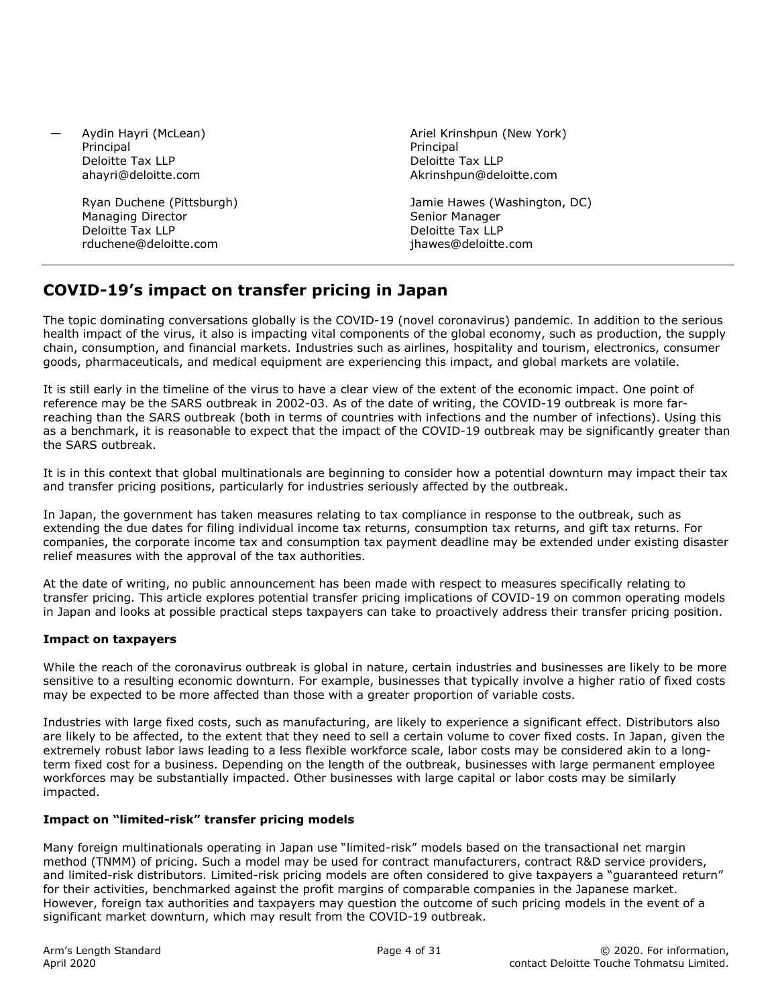— Aydin Hayri (McLean) Principal Deloitte Tax LLP ahayri@deloitte.com

> Ryan Duchene (Pittsburgh) Managing Director Deloitte Tax LLP rduchene@deloitte.com

Ariel Krinshpun (New York) **Principal** Deloitte Tax LLP Akrinshpun@deloitte.com

Jamie Hawes (Washington, DC) Senior Manager Deloitte Tax LLP jhawes@deloitte.com

# **COVID-19's impact on transfer pricing in Japan**

The topic dominating conversations globally is the COVID-19 (novel coronavirus) pandemic. In addition to the serious health impact of the virus, it also is impacting vital components of the global economy, such as production, the supply chain, consumption, and financial markets. Industries such as airlines, hospitality and tourism, electronics, consumer goods, pharmaceuticals, and medical equipment are experiencing this impact, and global markets are volatile.

It is still early in the timeline of the virus to have a clear view of the extent of the economic impact. One point of reference may be the SARS outbreak in 2002-03. As of the date of writing, the COVID-19 outbreak is more farreaching than the SARS outbreak (both in terms of countries with infections and the number of infections). Using this as a benchmark, it is reasonable to expect that the impact of the COVID-19 outbreak may be significantly greater than the SARS outbreak.

It is in this context that global multinationals are beginning to consider how a potential downturn may impact their tax and transfer pricing positions, particularly for industries seriously affected by the outbreak.

In Japan, the government has taken measures relating to tax compliance in response to the outbreak, such as extending the due dates for filing individual income tax returns, consumption tax returns, and gift tax returns. For companies, the corporate income tax and consumption tax payment deadline may be extended under existing disaster relief measures with the approval of the tax authorities.

At the date of writing, no public announcement has been made with respect to measures specifically relating to transfer pricing. This article explores potential transfer pricing implications of COVID-19 on common operating models in Japan and looks at possible practical steps taxpayers can take to proactively address their transfer pricing position.

#### **Impact on taxpayers**

While the reach of the coronavirus outbreak is global in nature, certain industries and businesses are likely to be more sensitive to a resulting economic downturn. For example, businesses that typically involve a higher ratio of fixed costs may be expected to be more affected than those with a greater proportion of variable costs.

Industries with large fixed costs, such as manufacturing, are likely to experience a significant effect. Distributors also are likely to be affected, to the extent that they need to sell a certain volume to cover fixed costs. In Japan, given the extremely robust labor laws leading to a less flexible workforce scale, labor costs may be considered akin to a longterm fixed cost for a business. Depending on the length of the outbreak, businesses with large permanent employee workforces may be substantially impacted. Other businesses with large capital or labor costs may be similarly impacted.

#### **Impact on "limited-risk" transfer pricing models**

Many foreign multinationals operating in Japan use "limited-risk" models based on the transactional net margin method (TNMM) of pricing. Such a model may be used for contract manufacturers, contract R&D service providers, and limited-risk distributors. Limited-risk pricing models are often considered to give taxpayers a "guaranteed return" for their activities, benchmarked against the profit margins of comparable companies in the Japanese market. However, foreign tax authorities and taxpayers may question the outcome of such pricing models in the event of a significant market downturn, which may result from the COVID-19 outbreak.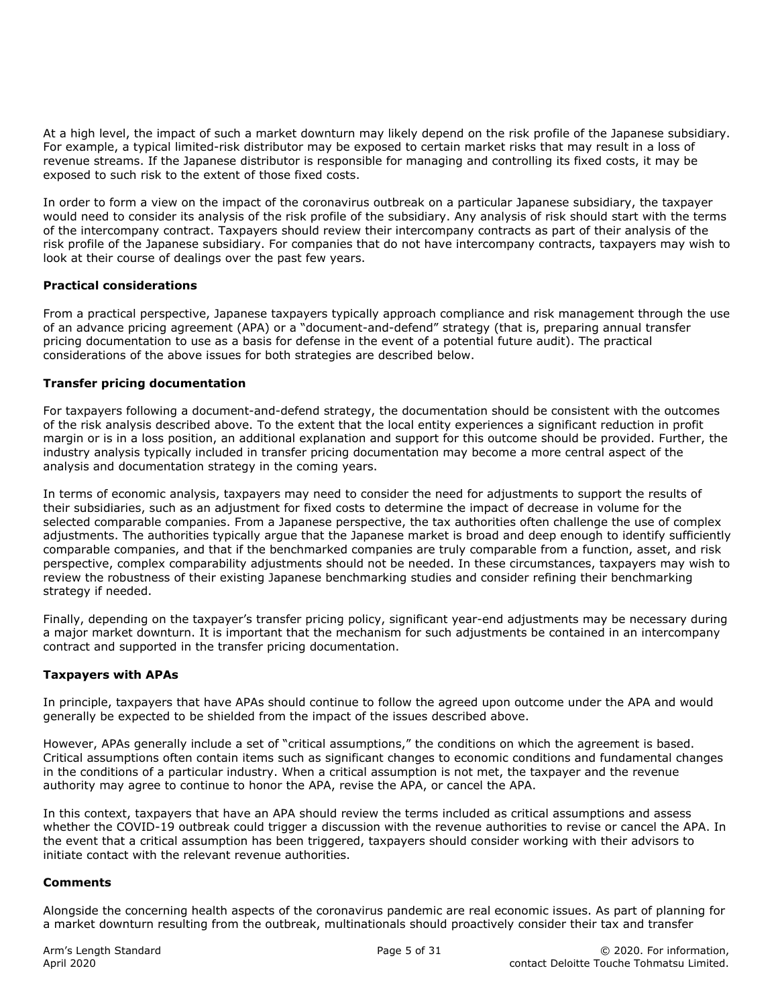At a high level, the impact of such a market downturn may likely depend on the risk profile of the Japanese subsidiary. For example, a typical limited-risk distributor may be exposed to certain market risks that may result in a loss of revenue streams. If the Japanese distributor is responsible for managing and controlling its fixed costs, it may be exposed to such risk to the extent of those fixed costs.

In order to form a view on the impact of the coronavirus outbreak on a particular Japanese subsidiary, the taxpayer would need to consider its analysis of the risk profile of the subsidiary. Any analysis of risk should start with the terms of the intercompany contract. Taxpayers should review their intercompany contracts as part of their analysis of the risk profile of the Japanese subsidiary. For companies that do not have intercompany contracts, taxpayers may wish to look at their course of dealings over the past few years.

#### **Practical considerations**

From a practical perspective, Japanese taxpayers typically approach compliance and risk management through the use of an advance pricing agreement (APA) or a "document-and-defend" strategy (that is, preparing annual transfer pricing documentation to use as a basis for defense in the event of a potential future audit). The practical considerations of the above issues for both strategies are described below.

#### **Transfer pricing documentation**

For taxpayers following a document-and-defend strategy, the documentation should be consistent with the outcomes of the risk analysis described above. To the extent that the local entity experiences a significant reduction in profit margin or is in a loss position, an additional explanation and support for this outcome should be provided. Further, the industry analysis typically included in transfer pricing documentation may become a more central aspect of the analysis and documentation strategy in the coming years.

In terms of economic analysis, taxpayers may need to consider the need for adjustments to support the results of their subsidiaries, such as an adjustment for fixed costs to determine the impact of decrease in volume for the selected comparable companies. From a Japanese perspective, the tax authorities often challenge the use of complex adjustments. The authorities typically argue that the Japanese market is broad and deep enough to identify sufficiently comparable companies, and that if the benchmarked companies are truly comparable from a function, asset, and risk perspective, complex comparability adjustments should not be needed. In these circumstances, taxpayers may wish to review the robustness of their existing Japanese benchmarking studies and consider refining their benchmarking strategy if needed.

Finally, depending on the taxpayer's transfer pricing policy, significant year-end adjustments may be necessary during a major market downturn. It is important that the mechanism for such adjustments be contained in an intercompany contract and supported in the transfer pricing documentation.

#### **Taxpayers with APAs**

In principle, taxpayers that have APAs should continue to follow the agreed upon outcome under the APA and would generally be expected to be shielded from the impact of the issues described above.

However, APAs generally include a set of "critical assumptions," the conditions on which the agreement is based. Critical assumptions often contain items such as significant changes to economic conditions and fundamental changes in the conditions of a particular industry. When a critical assumption is not met, the taxpayer and the revenue authority may agree to continue to honor the APA, revise the APA, or cancel the APA.

In this context, taxpayers that have an APA should review the terms included as critical assumptions and assess whether the COVID-19 outbreak could trigger a discussion with the revenue authorities to revise or cancel the APA. In the event that a critical assumption has been triggered, taxpayers should consider working with their advisors to initiate contact with the relevant revenue authorities.

#### **Comments**

Alongside the concerning health aspects of the coronavirus pandemic are real economic issues. As part of planning for a market downturn resulting from the outbreak, multinationals should proactively consider their tax and transfer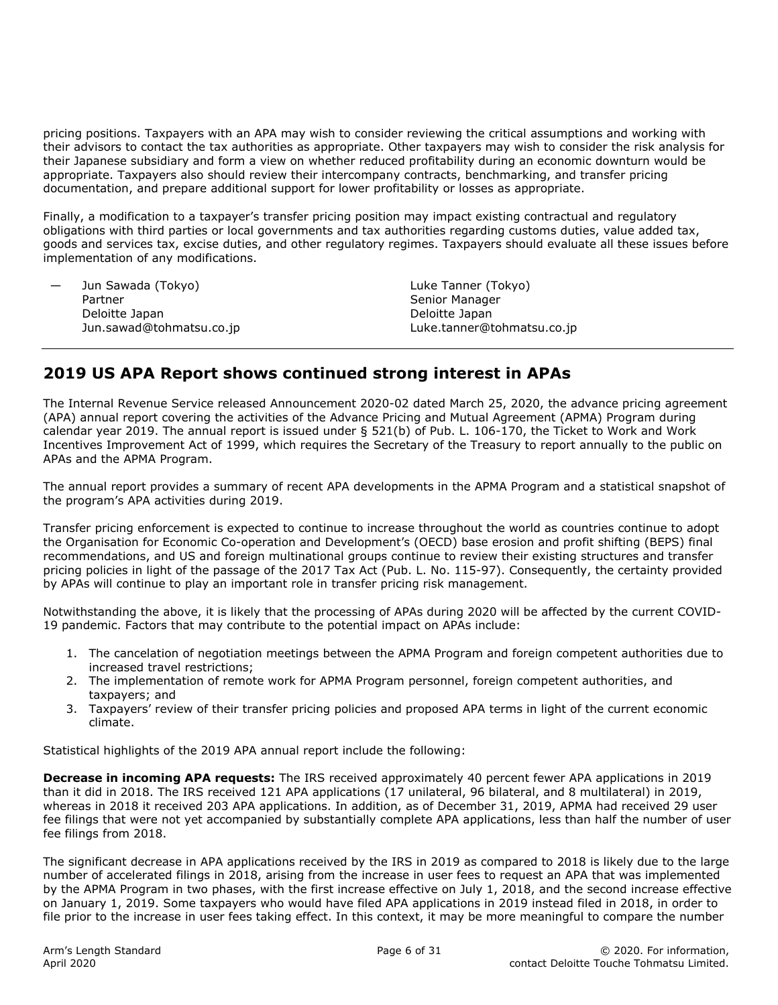pricing positions. Taxpayers with an APA may wish to consider reviewing the critical assumptions and working with their advisors to contact the tax authorities as appropriate. Other taxpayers may wish to consider the risk analysis for their Japanese subsidiary and form a view on whether reduced profitability during an economic downturn would be appropriate. Taxpayers also should review their intercompany contracts, benchmarking, and transfer pricing documentation, and prepare additional support for lower profitability or losses as appropriate.

Finally, a modification to a taxpayer's transfer pricing position may impact existing contractual and regulatory obligations with third parties or local governments and tax authorities regarding customs duties, value added tax, goods and services tax, excise duties, and other regulatory regimes. Taxpayers should evaluate all these issues before implementation of any modifications.

| Jun Sawada (Tokyo)       | Luke Tanner (Tokyo)        |  |
|--------------------------|----------------------------|--|
| Partner                  | Senior Manager             |  |
| Deloitte Japan           | Deloitte Japan             |  |
| Jun.sawad@tohmatsu.co.jp | Luke.tanner@tohmatsu.co.jp |  |

# **2019 US APA Report shows continued strong interest in APAs**

The Internal Revenue Service released Announcement 2020-02 dated March 25, 2020, the advance pricing agreement (APA) annual report covering the activities of the Advance Pricing and Mutual Agreement (APMA) Program during calendar year 2019. The annual report is issued under § 521(b) of Pub. L. 106-170, the Ticket to Work and Work Incentives Improvement Act of 1999, which requires the Secretary of the Treasury to report annually to the public on APAs and the APMA Program.

The annual report provides a summary of recent APA developments in the APMA Program and a statistical snapshot of the program's APA activities during 2019.

Transfer pricing enforcement is expected to continue to increase throughout the world as countries continue to adopt the Organisation for Economic Co-operation and Development's (OECD) base erosion and profit shifting (BEPS) final recommendations, and US and foreign multinational groups continue to review their existing structures and transfer pricing policies in light of the passage of the 2017 Tax Act (Pub. L. No. 115-97). Consequently, the certainty provided by APAs will continue to play an important role in transfer pricing risk management.

Notwithstanding the above, it is likely that the processing of APAs during 2020 will be affected by the current COVID-19 pandemic. Factors that may contribute to the potential impact on APAs include:

- 1. The cancelation of negotiation meetings between the APMA Program and foreign competent authorities due to increased travel restrictions;
- 2. The implementation of remote work for APMA Program personnel, foreign competent authorities, and taxpayers; and
- 3. Taxpayers' review of their transfer pricing policies and proposed APA terms in light of the current economic climate.

Statistical highlights of the 2019 APA annual report include the following:

**Decrease in incoming APA requests:** The IRS received approximately 40 percent fewer APA applications in 2019 than it did in 2018. The IRS received 121 APA applications (17 unilateral, 96 bilateral, and 8 multilateral) in 2019, whereas in 2018 it received 203 APA applications. In addition, as of December 31, 2019, APMA had received 29 user fee filings that were not yet accompanied by substantially complete APA applications, less than half the number of user fee filings from 2018.

The significant decrease in APA applications received by the IRS in 2019 as compared to 2018 is likely due to the large number of accelerated filings in 2018, arising from the increase in user fees to request an APA that was implemented by the APMA Program in two phases, with the first increase effective on July 1, 2018, and the second increase effective on January 1, 2019. Some taxpayers who would have filed APA applications in 2019 instead filed in 2018, in order to file prior to the increase in user fees taking effect. In this context, it may be more meaningful to compare the number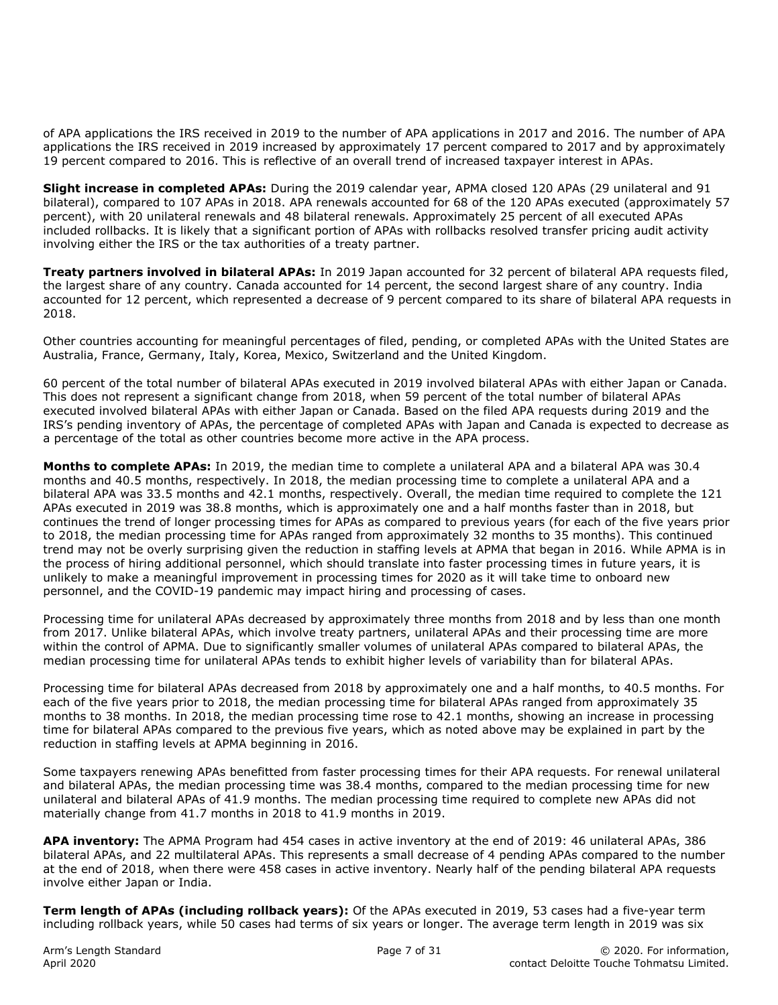of APA applications the IRS received in 2019 to the number of APA applications in 2017 and 2016. The number of APA applications the IRS received in 2019 increased by approximately 17 percent compared to 2017 and by approximately 19 percent compared to 2016. This is reflective of an overall trend of increased taxpayer interest in APAs.

**Slight increase in completed APAs:** During the 2019 calendar year, APMA closed 120 APAs (29 unilateral and 91 bilateral), compared to 107 APAs in 2018. APA renewals accounted for 68 of the 120 APAs executed (approximately 57 percent), with 20 unilateral renewals and 48 bilateral renewals. Approximately 25 percent of all executed APAs included rollbacks. It is likely that a significant portion of APAs with rollbacks resolved transfer pricing audit activity involving either the IRS or the tax authorities of a treaty partner.

**Treaty partners involved in bilateral APAs:** In 2019 Japan accounted for 32 percent of bilateral APA requests filed, the largest share of any country. Canada accounted for 14 percent, the second largest share of any country. India accounted for 12 percent, which represented a decrease of 9 percent compared to its share of bilateral APA requests in 2018.

Other countries accounting for meaningful percentages of filed, pending, or completed APAs with the United States are Australia, France, Germany, Italy, Korea, Mexico, Switzerland and the United Kingdom.

60 percent of the total number of bilateral APAs executed in 2019 involved bilateral APAs with either Japan or Canada. This does not represent a significant change from 2018, when 59 percent of the total number of bilateral APAs executed involved bilateral APAs with either Japan or Canada. Based on the filed APA requests during 2019 and the IRS's pending inventory of APAs, the percentage of completed APAs with Japan and Canada is expected to decrease as a percentage of the total as other countries become more active in the APA process.

**Months to complete APAs:** In 2019, the median time to complete a unilateral APA and a bilateral APA was 30.4 months and 40.5 months, respectively. In 2018, the median processing time to complete a unilateral APA and a bilateral APA was 33.5 months and 42.1 months, respectively. Overall, the median time required to complete the 121 APAs executed in 2019 was 38.8 months, which is approximately one and a half months faster than in 2018, but continues the trend of longer processing times for APAs as compared to previous years (for each of the five years prior to 2018, the median processing time for APAs ranged from approximately 32 months to 35 months). This continued trend may not be overly surprising given the reduction in staffing levels at APMA that began in 2016. While APMA is in the process of hiring additional personnel, which should translate into faster processing times in future years, it is unlikely to make a meaningful improvement in processing times for 2020 as it will take time to onboard new personnel, and the COVID-19 pandemic may impact hiring and processing of cases.

Processing time for unilateral APAs decreased by approximately three months from 2018 and by less than one month from 2017. Unlike bilateral APAs, which involve treaty partners, unilateral APAs and their processing time are more within the control of APMA. Due to significantly smaller volumes of unilateral APAs compared to bilateral APAs, the median processing time for unilateral APAs tends to exhibit higher levels of variability than for bilateral APAs.

Processing time for bilateral APAs decreased from 2018 by approximately one and a half months, to 40.5 months. For each of the five years prior to 2018, the median processing time for bilateral APAs ranged from approximately 35 months to 38 months. In 2018, the median processing time rose to 42.1 months, showing an increase in processing time for bilateral APAs compared to the previous five years, which as noted above may be explained in part by the reduction in staffing levels at APMA beginning in 2016.

Some taxpayers renewing APAs benefitted from faster processing times for their APA requests. For renewal unilateral and bilateral APAs, the median processing time was 38.4 months, compared to the median processing time for new unilateral and bilateral APAs of 41.9 months. The median processing time required to complete new APAs did not materially change from 41.7 months in 2018 to 41.9 months in 2019.

**APA inventory:** The APMA Program had 454 cases in active inventory at the end of 2019: 46 unilateral APAs, 386 bilateral APAs, and 22 multilateral APAs. This represents a small decrease of 4 pending APAs compared to the number at the end of 2018, when there were 458 cases in active inventory. Nearly half of the pending bilateral APA requests involve either Japan or India.

**Term length of APAs (including rollback years):** Of the APAs executed in 2019, 53 cases had a five-year term including rollback years, while 50 cases had terms of six years or longer. The average term length in 2019 was six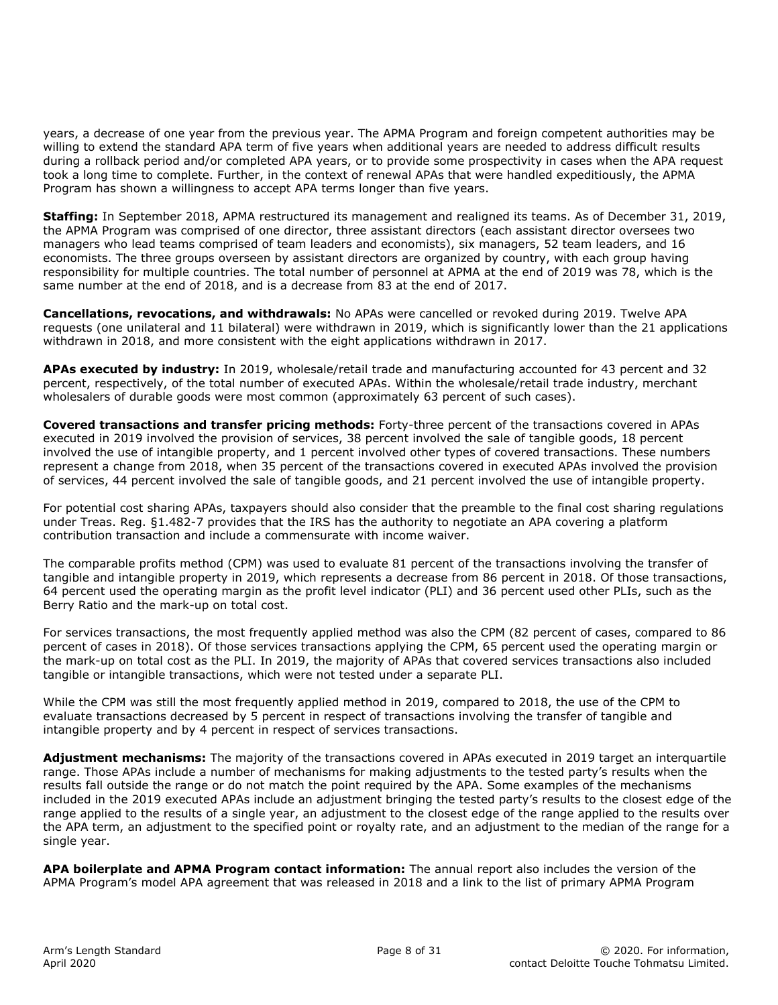years, a decrease of one year from the previous year. The APMA Program and foreign competent authorities may be willing to extend the standard APA term of five years when additional years are needed to address difficult results during a rollback period and/or completed APA years, or to provide some prospectivity in cases when the APA request took a long time to complete. Further, in the context of renewal APAs that were handled expeditiously, the APMA Program has shown a willingness to accept APA terms longer than five years.

**Staffing:** In September 2018, APMA restructured its management and realigned its teams. As of December 31, 2019, the APMA Program was comprised of one director, three assistant directors (each assistant director oversees two managers who lead teams comprised of team leaders and economists), six managers, 52 team leaders, and 16 economists. The three groups overseen by assistant directors are organized by country, with each group having responsibility for multiple countries. The total number of personnel at APMA at the end of 2019 was 78, which is the same number at the end of 2018, and is a decrease from 83 at the end of 2017.

**Cancellations, revocations, and withdrawals:** No APAs were cancelled or revoked during 2019. Twelve APA requests (one unilateral and 11 bilateral) were withdrawn in 2019, which is significantly lower than the 21 applications withdrawn in 2018, and more consistent with the eight applications withdrawn in 2017.

**APAs executed by industry:** In 2019, wholesale/retail trade and manufacturing accounted for 43 percent and 32 percent, respectively, of the total number of executed APAs. Within the wholesale/retail trade industry, merchant wholesalers of durable goods were most common (approximately 63 percent of such cases).

**Covered transactions and transfer pricing methods:** Forty-three percent of the transactions covered in APAs executed in 2019 involved the provision of services, 38 percent involved the sale of tangible goods, 18 percent involved the use of intangible property, and 1 percent involved other types of covered transactions. These numbers represent a change from 2018, when 35 percent of the transactions covered in executed APAs involved the provision of services, 44 percent involved the sale of tangible goods, and 21 percent involved the use of intangible property.

For potential cost sharing APAs, taxpayers should also consider that the preamble to the final cost sharing regulations under Treas. Reg. §1.482-7 provides that the IRS has the authority to negotiate an APA covering a platform contribution transaction and include a commensurate with income waiver.

The comparable profits method (CPM) was used to evaluate 81 percent of the transactions involving the transfer of tangible and intangible property in 2019, which represents a decrease from 86 percent in 2018. Of those transactions, 64 percent used the operating margin as the profit level indicator (PLI) and 36 percent used other PLIs, such as the Berry Ratio and the mark-up on total cost.

For services transactions, the most frequently applied method was also the CPM (82 percent of cases, compared to 86 percent of cases in 2018). Of those services transactions applying the CPM, 65 percent used the operating margin or the mark-up on total cost as the PLI. In 2019, the majority of APAs that covered services transactions also included tangible or intangible transactions, which were not tested under a separate PLI.

While the CPM was still the most frequently applied method in 2019, compared to 2018, the use of the CPM to evaluate transactions decreased by 5 percent in respect of transactions involving the transfer of tangible and intangible property and by 4 percent in respect of services transactions.

**Adjustment mechanisms:** The majority of the transactions covered in APAs executed in 2019 target an interquartile range. Those APAs include a number of mechanisms for making adjustments to the tested party's results when the results fall outside the range or do not match the point required by the APA. Some examples of the mechanisms included in the 2019 executed APAs include an adjustment bringing the tested party's results to the closest edge of the range applied to the results of a single year, an adjustment to the closest edge of the range applied to the results over the APA term, an adjustment to the specified point or royalty rate, and an adjustment to the median of the range for a single year.

**APA boilerplate and APMA Program contact information:** The annual report also includes the version of the APMA Program's model APA agreement that was released in 2018 and a link to the list of primary APMA Program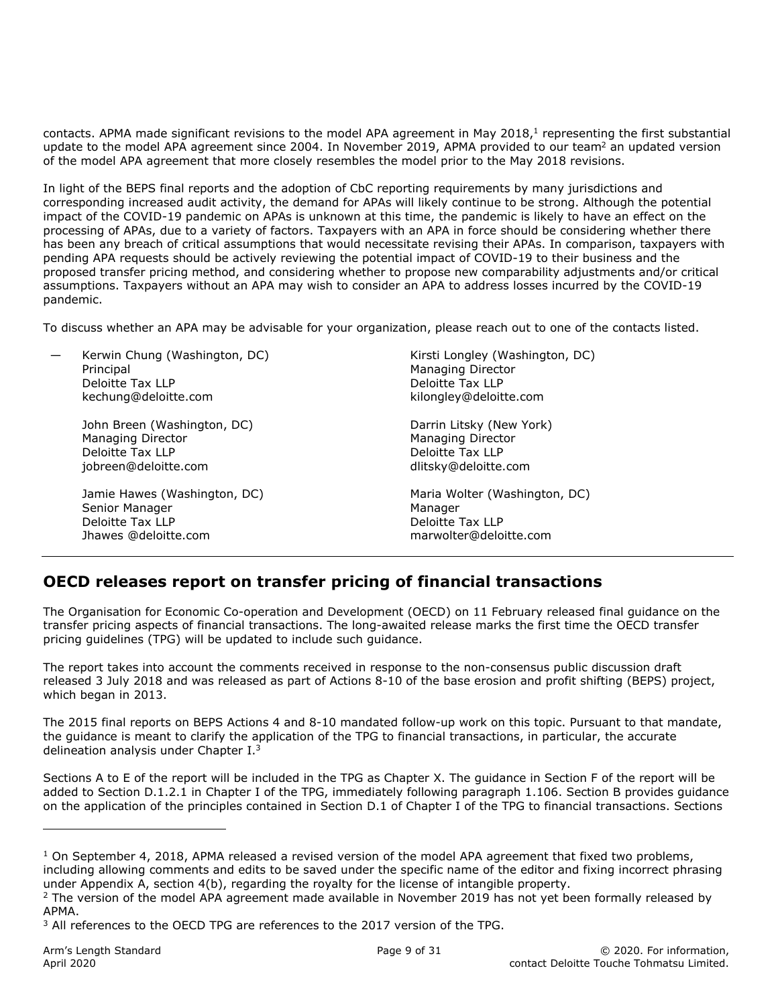contacts. APMA made significant revisions to the model APA agreement in May 2018, $<sup>1</sup>$  representing the first substantial</sup> update to the model APA agreement since 2004. In November 2019, APMA provided to our team<sup>2</sup> an updated version of the model APA agreement that more closely resembles the model prior to the May 2018 revisions.

In light of the BEPS final reports and the adoption of CbC reporting requirements by many jurisdictions and corresponding increased audit activity, the demand for APAs will likely continue to be strong. Although the potential impact of the COVID-19 pandemic on APAs is unknown at this time, the pandemic is likely to have an effect on the processing of APAs, due to a variety of factors. Taxpayers with an APA in force should be considering whether there has been any breach of critical assumptions that would necessitate revising their APAs. In comparison, taxpayers with pending APA requests should be actively reviewing the potential impact of COVID-19 to their business and the proposed transfer pricing method, and considering whether to propose new comparability adjustments and/or critical assumptions. Taxpayers without an APA may wish to consider an APA to address losses incurred by the COVID-19 pandemic.

To discuss whether an APA may be advisable for your organization, please reach out to one of the contacts listed.

| Kerwin Chung (Washington, DC)<br>Principal<br>Deloitte Tax LLP<br>kechung@deloitte.com |                                                                                              | Kirsti Longley (Washington, DC)<br><b>Managing Director</b><br>Deloitte Tax LLP<br>kilongley@deloitte.com |  |
|----------------------------------------------------------------------------------------|----------------------------------------------------------------------------------------------|-----------------------------------------------------------------------------------------------------------|--|
|                                                                                        | John Breen (Washington, DC)<br>Managing Director<br>Deloitte Tax LLP<br>jobreen@deloitte.com | Darrin Litsky (New York)<br>Managing Director<br>Deloitte Tax LLP<br>dlitsky@deloitte.com                 |  |
|                                                                                        | Jamie Hawes (Washington, DC)<br>Senior Manager<br>Deloitte Tax LLP<br>Jhawes @deloitte.com   | Maria Wolter (Washington, DC)<br>Manager<br>Deloitte Tax LLP<br>marwolter@deloitte.com                    |  |
|                                                                                        |                                                                                              |                                                                                                           |  |

## **OECD releases report on transfer pricing of financial transactions**

The Organisation for Economic Co-operation and Development (OECD) on 11 February released final guidance on the transfer pricing aspects of financial transactions. The long-awaited release marks the first time the OECD transfer pricing guidelines (TPG) will be updated to include such guidance.

The report takes into account the comments received in response to the non-consensus public discussion draft released 3 July 2018 and was released as part of Actions 8-10 of the base erosion and profit shifting (BEPS) project, which began in 2013.

The 2015 final reports on BEPS Actions 4 and 8-10 mandated follow-up work on this topic. Pursuant to that mandate, the guidance is meant to clarify the application of the TPG to financial transactions, in particular, the accurate delineation analysis under Chapter I.3

Sections A to E of the report will be included in the TPG as Chapter X. The guidance in Section F of the report will be added to Section D.1.2.1 in Chapter I of the TPG, immediately following paragraph 1.106. Section B provides guidance on the application of the principles contained in Section D.1 of Chapter I of the TPG to financial transactions. Sections

ı

 $DC$ )

 $1$  On September 4, 2018, APMA released a revised version of the model APA agreement that fixed two problems, including allowing comments and edits to be saved under the specific name of the editor and fixing incorrect phrasing under Appendix A, section 4(b), regarding the royalty for the license of intangible property.

<sup>&</sup>lt;sup>2</sup> The version of the model APA agreement made available in November 2019 has not yet been formally released by APMA.

<sup>&</sup>lt;sup>3</sup> All references to the OECD TPG are references to the 2017 version of the TPG.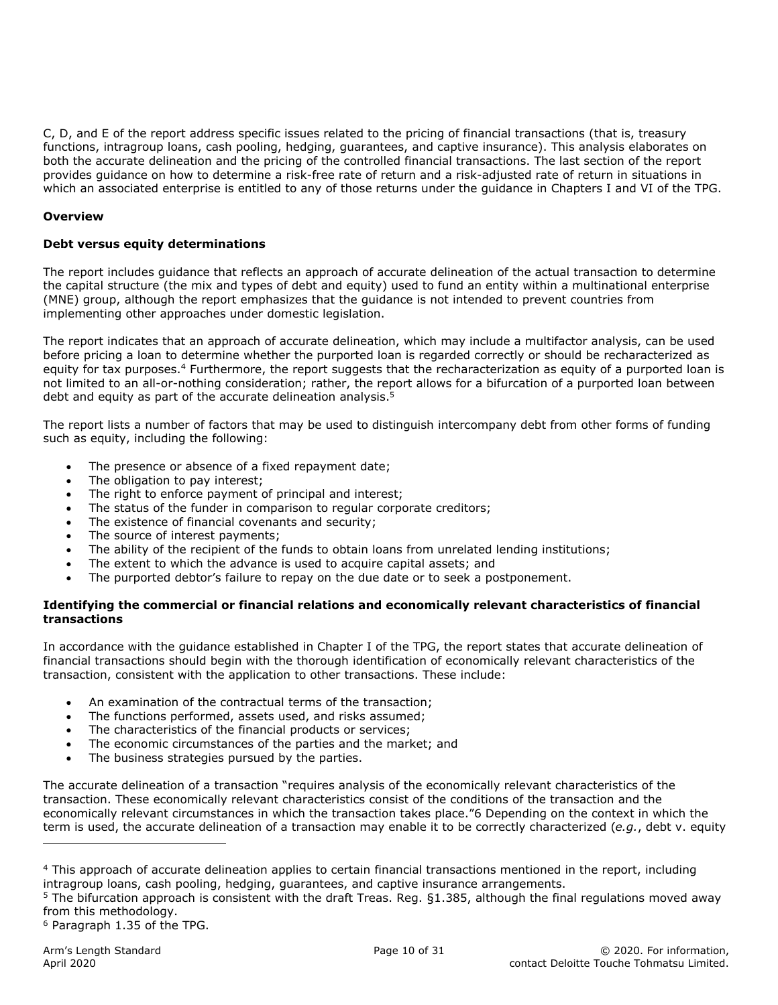C, D, and E of the report address specific issues related to the pricing of financial transactions (that is, treasury functions, intragroup loans, cash pooling, hedging, guarantees, and captive insurance). This analysis elaborates on both the accurate delineation and the pricing of the controlled financial transactions. The last section of the report provides guidance on how to determine a risk-free rate of return and a risk-adjusted rate of return in situations in which an associated enterprise is entitled to any of those returns under the guidance in Chapters I and VI of the TPG.

#### **Overview**

#### **Debt versus equity determinations**

The report includes guidance that reflects an approach of accurate delineation of the actual transaction to determine the capital structure (the mix and types of debt and equity) used to fund an entity within a multinational enterprise (MNE) group, although the report emphasizes that the guidance is not intended to prevent countries from implementing other approaches under domestic legislation.

The report indicates that an approach of accurate delineation, which may include a multifactor analysis, can be used before pricing a loan to determine whether the purported loan is regarded correctly or should be recharacterized as equity for tax purposes.<sup>4</sup> Furthermore, the report suggests that the recharacterization as equity of a purported loan is not limited to an all-or-nothing consideration; rather, the report allows for a bifurcation of a purported loan between debt and equity as part of the accurate delineation analysis. $5$ 

The report lists a number of factors that may be used to distinguish intercompany debt from other forms of funding such as equity, including the following:

- The presence or absence of a fixed repayment date;
- The obligation to pay interest;
- The right to enforce payment of principal and interest;
- The status of the funder in comparison to regular corporate creditors;
- The existence of financial covenants and security;
- The source of interest payments;
- The ability of the recipient of the funds to obtain loans from unrelated lending institutions;
- The extent to which the advance is used to acquire capital assets; and
- The purported debtor's failure to repay on the due date or to seek a postponement.

#### **Identifying the commercial or financial relations and economically relevant characteristics of financial transactions**

In accordance with the guidance established in Chapter I of the TPG, the report states that accurate delineation of financial transactions should begin with the thorough identification of economically relevant characteristics of the transaction, consistent with the application to other transactions. These include:

- An examination of the contractual terms of the transaction;
- The functions performed, assets used, and risks assumed;
- The characteristics of the financial products or services;
- The economic circumstances of the parties and the market; and
- The business strategies pursued by the parties.

The accurate delineation of a transaction "requires analysis of the economically relevant characteristics of the transaction. These economically relevant characteristics consist of the conditions of the transaction and the economically relevant circumstances in which the transaction takes place."6 Depending on the context in which the term is used, the accurate delineation of a transaction may enable it to be correctly characterized (*e.g.*, debt v. equity

 $5$  The bifurcation approach is consistent with the draft Treas. Reg.  $\S 1.385$ , although the final regulations moved away from this methodology.

6 Paragraph 1.35 of the TPG.

1

<sup>&</sup>lt;sup>4</sup> This approach of accurate delineation applies to certain financial transactions mentioned in the report, including intragroup loans, cash pooling, hedging, guarantees, and captive insurance arrangements.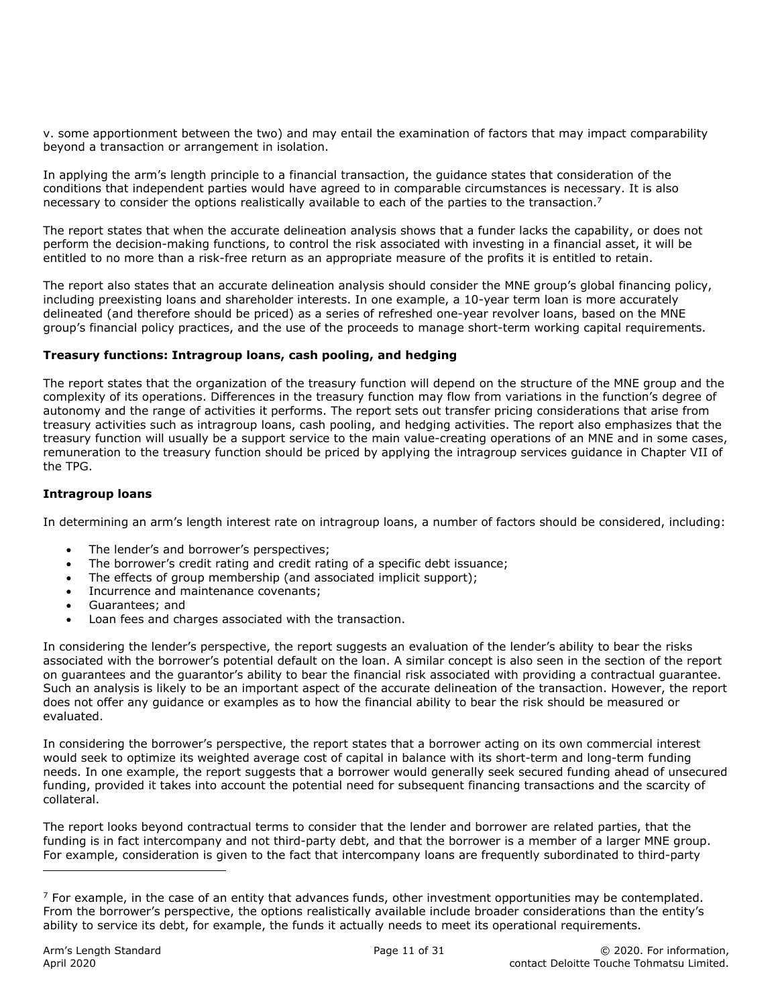v. some apportionment between the two) and may entail the examination of factors that may impact comparability beyond a transaction or arrangement in isolation.

In applying the arm's length principle to a financial transaction, the guidance states that consideration of the conditions that independent parties would have agreed to in comparable circumstances is necessary. It is also necessary to consider the options realistically available to each of the parties to the transaction.<sup>7</sup>

The report states that when the accurate delineation analysis shows that a funder lacks the capability, or does not perform the decision-making functions, to control the risk associated with investing in a financial asset, it will be entitled to no more than a risk-free return as an appropriate measure of the profits it is entitled to retain.

The report also states that an accurate delineation analysis should consider the MNE group's global financing policy, including preexisting loans and shareholder interests. In one example, a 10-year term loan is more accurately delineated (and therefore should be priced) as a series of refreshed one-year revolver loans, based on the MNE group's financial policy practices, and the use of the proceeds to manage short-term working capital requirements.

#### **Treasury functions: Intragroup loans, cash pooling, and hedging**

The report states that the organization of the treasury function will depend on the structure of the MNE group and the complexity of its operations. Differences in the treasury function may flow from variations in the function's degree of autonomy and the range of activities it performs. The report sets out transfer pricing considerations that arise from treasury activities such as intragroup loans, cash pooling, and hedging activities. The report also emphasizes that the treasury function will usually be a support service to the main value-creating operations of an MNE and in some cases, remuneration to the treasury function should be priced by applying the intragroup services guidance in Chapter VII of the TPG.

#### **Intragroup loans**

In determining an arm's length interest rate on intragroup loans, a number of factors should be considered, including:

- The lender's and borrower's perspectives;
- The borrower's credit rating and credit rating of a specific debt issuance;
- The effects of group membership (and associated implicit support);
- Incurrence and maintenance covenants;
- Guarantees; and
- Loan fees and charges associated with the transaction.

In considering the lender's perspective, the report suggests an evaluation of the lender's ability to bear the risks associated with the borrower's potential default on the loan. A similar concept is also seen in the section of the report on guarantees and the guarantor's ability to bear the financial risk associated with providing a contractual guarantee. Such an analysis is likely to be an important aspect of the accurate delineation of the transaction. However, the report does not offer any guidance or examples as to how the financial ability to bear the risk should be measured or evaluated.

In considering the borrower's perspective, the report states that a borrower acting on its own commercial interest would seek to optimize its weighted average cost of capital in balance with its short-term and long-term funding needs. In one example, the report suggests that a borrower would generally seek secured funding ahead of unsecured funding, provided it takes into account the potential need for subsequent financing transactions and the scarcity of collateral.

The report looks beyond contractual terms to consider that the lender and borrower are related parties, that the funding is in fact intercompany and not third-party debt, and that the borrower is a member of a larger MNE group. For example, consideration is given to the fact that intercompany loans are frequently subordinated to third-party

ı

 $<sup>7</sup>$  For example, in the case of an entity that advances funds, other investment opportunities may be contemplated.</sup> From the borrower's perspective, the options realistically available include broader considerations than the entity's ability to service its debt, for example, the funds it actually needs to meet its operational requirements.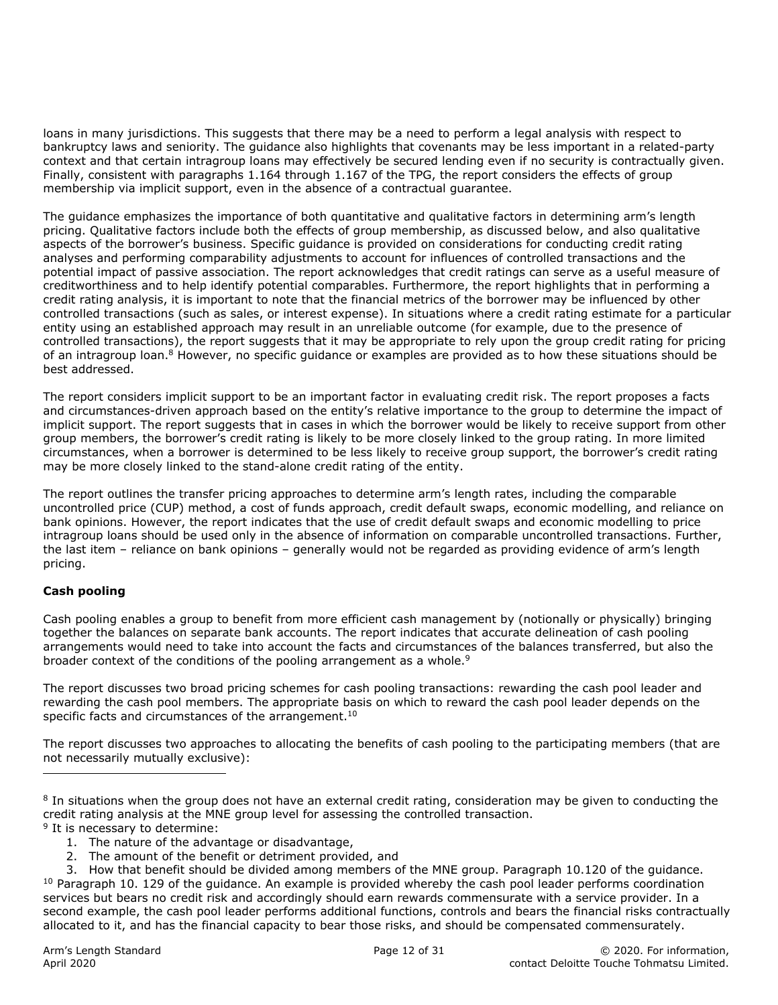loans in many jurisdictions. This suggests that there may be a need to perform a legal analysis with respect to bankruptcy laws and seniority. The guidance also highlights that covenants may be less important in a related-party context and that certain intragroup loans may effectively be secured lending even if no security is contractually given. Finally, consistent with paragraphs 1.164 through 1.167 of the TPG, the report considers the effects of group membership via implicit support, even in the absence of a contractual guarantee.

The guidance emphasizes the importance of both quantitative and qualitative factors in determining arm's length pricing. Qualitative factors include both the effects of group membership, as discussed below, and also qualitative aspects of the borrower's business. Specific guidance is provided on considerations for conducting credit rating analyses and performing comparability adjustments to account for influences of controlled transactions and the potential impact of passive association. The report acknowledges that credit ratings can serve as a useful measure of creditworthiness and to help identify potential comparables. Furthermore, the report highlights that in performing a credit rating analysis, it is important to note that the financial metrics of the borrower may be influenced by other controlled transactions (such as sales, or interest expense). In situations where a credit rating estimate for a particular entity using an established approach may result in an unreliable outcome (for example, due to the presence of controlled transactions), the report suggests that it may be appropriate to rely upon the group credit rating for pricing of an intragroup loan.<sup>8</sup> However, no specific guidance or examples are provided as to how these situations should be best addressed.

The report considers implicit support to be an important factor in evaluating credit risk. The report proposes a facts and circumstances-driven approach based on the entity's relative importance to the group to determine the impact of implicit support. The report suggests that in cases in which the borrower would be likely to receive support from other group members, the borrower's credit rating is likely to be more closely linked to the group rating. In more limited circumstances, when a borrower is determined to be less likely to receive group support, the borrower's credit rating may be more closely linked to the stand-alone credit rating of the entity.

The report outlines the transfer pricing approaches to determine arm's length rates, including the comparable uncontrolled price (CUP) method, a cost of funds approach, credit default swaps, economic modelling, and reliance on bank opinions. However, the report indicates that the use of credit default swaps and economic modelling to price intragroup loans should be used only in the absence of information on comparable uncontrolled transactions. Further, the last item – reliance on bank opinions – generally would not be regarded as providing evidence of arm's length pricing.

#### **Cash pooling**

ı

Cash pooling enables a group to benefit from more efficient cash management by (notionally or physically) bringing together the balances on separate bank accounts. The report indicates that accurate delineation of cash pooling arrangements would need to take into account the facts and circumstances of the balances transferred, but also the broader context of the conditions of the pooling arrangement as a whole.<sup>9</sup>

The report discusses two broad pricing schemes for cash pooling transactions: rewarding the cash pool leader and rewarding the cash pool members. The appropriate basis on which to reward the cash pool leader depends on the specific facts and circumstances of the arrangement.<sup>10</sup>

The report discusses two approaches to allocating the benefits of cash pooling to the participating members (that are not necessarily mutually exclusive):

- <sup>9</sup> It is necessary to determine:
	- 1. The nature of the advantage or disadvantage,
	- 2. The amount of the benefit or detriment provided, and
- 3. How that benefit should be divided among members of the MNE group. Paragraph 10.120 of the guidance.  $10$  Paragraph 10. 129 of the guidance. An example is provided whereby the cash pool leader performs coordination services but bears no credit risk and accordingly should earn rewards commensurate with a service provider. In a second example, the cash pool leader performs additional functions, controls and bears the financial risks contractually allocated to it, and has the financial capacity to bear those risks, and should be compensated commensurately.

<sup>&</sup>lt;sup>8</sup> In situations when the group does not have an external credit rating, consideration may be given to conducting the credit rating analysis at the MNE group level for assessing the controlled transaction.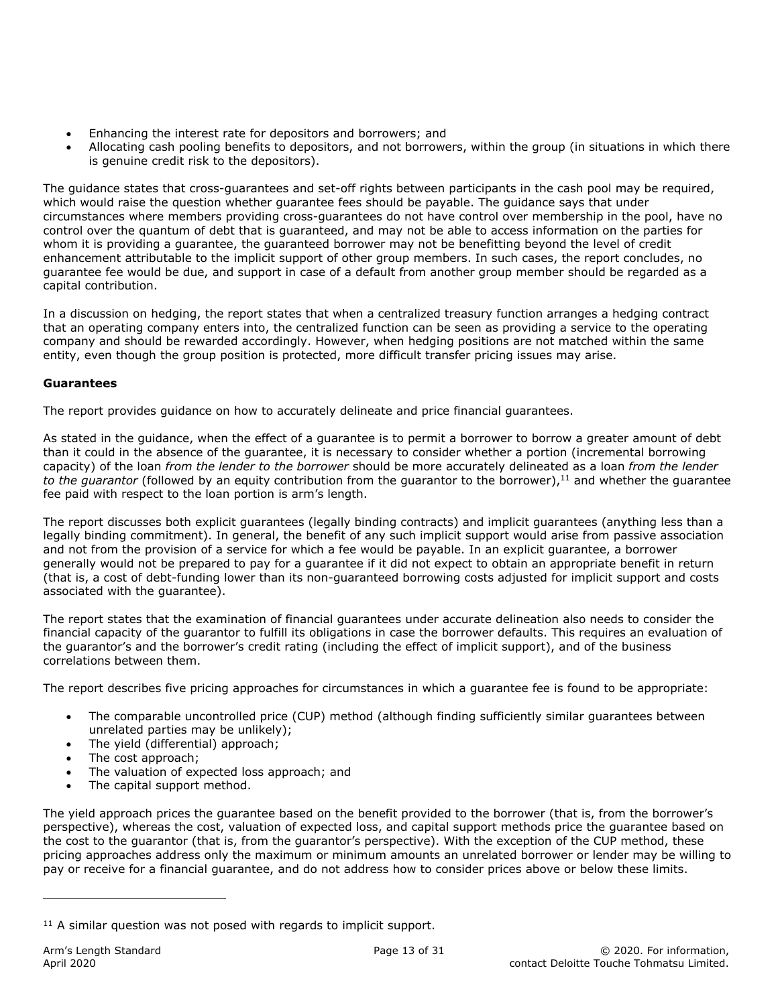- Enhancing the interest rate for depositors and borrowers; and
- Allocating cash pooling benefits to depositors, and not borrowers, within the group (in situations in which there is genuine credit risk to the depositors).

The guidance states that cross-guarantees and set-off rights between participants in the cash pool may be required, which would raise the question whether guarantee fees should be payable. The guidance says that under circumstances where members providing cross-guarantees do not have control over membership in the pool, have no control over the quantum of debt that is guaranteed, and may not be able to access information on the parties for whom it is providing a guarantee, the guaranteed borrower may not be benefitting beyond the level of credit enhancement attributable to the implicit support of other group members. In such cases, the report concludes, no guarantee fee would be due, and support in case of a default from another group member should be regarded as a capital contribution.

In a discussion on hedging, the report states that when a centralized treasury function arranges a hedging contract that an operating company enters into, the centralized function can be seen as providing a service to the operating company and should be rewarded accordingly. However, when hedging positions are not matched within the same entity, even though the group position is protected, more difficult transfer pricing issues may arise.

#### **Guarantees**

The report provides guidance on how to accurately delineate and price financial guarantees.

As stated in the guidance, when the effect of a guarantee is to permit a borrower to borrow a greater amount of debt than it could in the absence of the guarantee, it is necessary to consider whether a portion (incremental borrowing capacity) of the loan *from the lender to the borrower* should be more accurately delineated as a loan *from the lender*  to the guarantor (followed by an equity contribution from the guarantor to the borrower),<sup>11</sup> and whether the quarantee fee paid with respect to the loan portion is arm's length.

The report discusses both explicit guarantees (legally binding contracts) and implicit guarantees (anything less than a legally binding commitment). In general, the benefit of any such implicit support would arise from passive association and not from the provision of a service for which a fee would be payable. In an explicit guarantee, a borrower generally would not be prepared to pay for a guarantee if it did not expect to obtain an appropriate benefit in return (that is, a cost of debt-funding lower than its non-guaranteed borrowing costs adjusted for implicit support and costs associated with the guarantee).

The report states that the examination of financial guarantees under accurate delineation also needs to consider the financial capacity of the guarantor to fulfill its obligations in case the borrower defaults. This requires an evaluation of the guarantor's and the borrower's credit rating (including the effect of implicit support), and of the business correlations between them.

The report describes five pricing approaches for circumstances in which a guarantee fee is found to be appropriate:

- The comparable uncontrolled price (CUP) method (although finding sufficiently similar guarantees between unrelated parties may be unlikely);
- The yield (differential) approach;
- The cost approach;
- The valuation of expected loss approach; and
- The capital support method.

The yield approach prices the guarantee based on the benefit provided to the borrower (that is, from the borrower's perspective), whereas the cost, valuation of expected loss, and capital support methods price the guarantee based on the cost to the guarantor (that is, from the guarantor's perspective). With the exception of the CUP method, these pricing approaches address only the maximum or minimum amounts an unrelated borrower or lender may be willing to pay or receive for a financial guarantee, and do not address how to consider prices above or below these limits.

ı

 $11$  A similar question was not posed with regards to implicit support.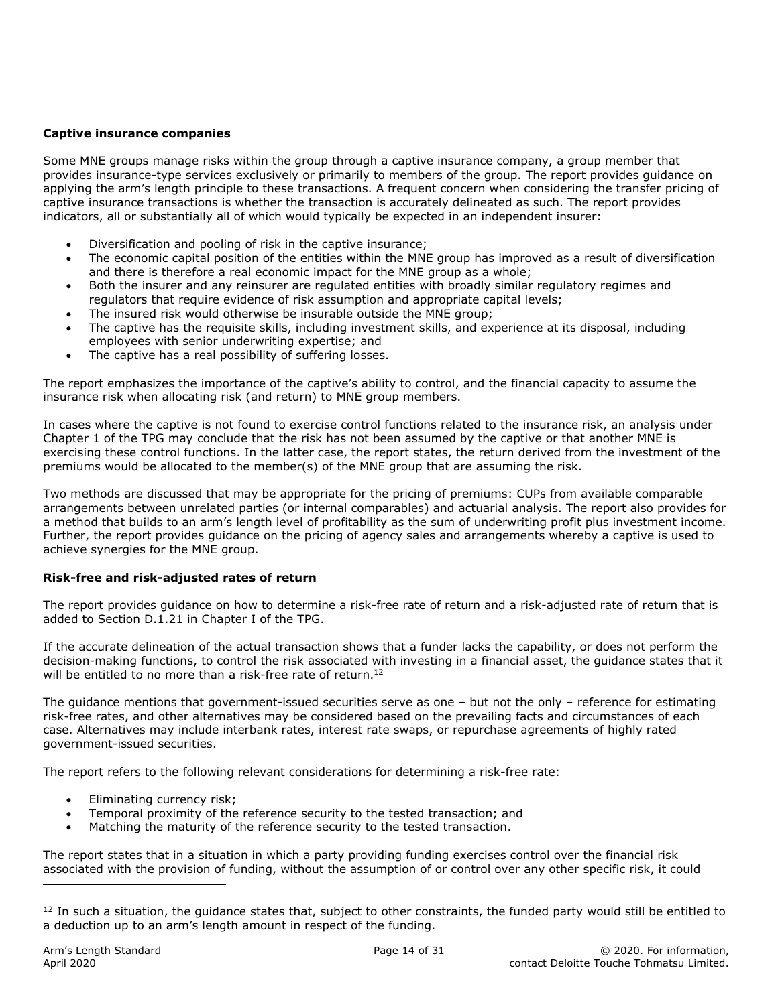#### **Captive insurance companies**

Some MNE groups manage risks within the group through a captive insurance company, a group member that provides insurance-type services exclusively or primarily to members of the group. The report provides guidance on applying the arm's length principle to these transactions. A frequent concern when considering the transfer pricing of captive insurance transactions is whether the transaction is accurately delineated as such. The report provides indicators, all or substantially all of which would typically be expected in an independent insurer:

- Diversification and pooling of risk in the captive insurance;
- The economic capital position of the entities within the MNE group has improved as a result of diversification and there is therefore a real economic impact for the MNE group as a whole;
- Both the insurer and any reinsurer are regulated entities with broadly similar regulatory regimes and regulators that require evidence of risk assumption and appropriate capital levels;
- The insured risk would otherwise be insurable outside the MNE group;
- The captive has the requisite skills, including investment skills, and experience at its disposal, including employees with senior underwriting expertise; and
- The captive has a real possibility of suffering losses.

The report emphasizes the importance of the captive's ability to control, and the financial capacity to assume the insurance risk when allocating risk (and return) to MNE group members.

In cases where the captive is not found to exercise control functions related to the insurance risk, an analysis under Chapter 1 of the TPG may conclude that the risk has not been assumed by the captive or that another MNE is exercising these control functions. In the latter case, the report states, the return derived from the investment of the premiums would be allocated to the member(s) of the MNE group that are assuming the risk.

Two methods are discussed that may be appropriate for the pricing of premiums: CUPs from available comparable arrangements between unrelated parties (or internal comparables) and actuarial analysis. The report also provides for a method that builds to an arm's length level of profitability as the sum of underwriting profit plus investment income. Further, the report provides guidance on the pricing of agency sales and arrangements whereby a captive is used to achieve synergies for the MNE group.

#### **Risk-free and risk-adjusted rates of return**

The report provides guidance on how to determine a risk-free rate of return and a risk-adjusted rate of return that is added to Section D.1.21 in Chapter I of the TPG.

If the accurate delineation of the actual transaction shows that a funder lacks the capability, or does not perform the decision-making functions, to control the risk associated with investing in a financial asset, the guidance states that it will be entitled to no more than a risk-free rate of return.<sup>12</sup>

The guidance mentions that government-issued securities serve as one – but not the only – reference for estimating risk-free rates, and other alternatives may be considered based on the prevailing facts and circumstances of each case. Alternatives may include interbank rates, interest rate swaps, or repurchase agreements of highly rated government-issued securities.

The report refers to the following relevant considerations for determining a risk-free rate:

- Eliminating currency risk;
- Temporal proximity of the reference security to the tested transaction; and
- Matching the maturity of the reference security to the tested transaction.

The report states that in a situation in which a party providing funding exercises control over the financial risk associated with the provision of funding, without the assumption of or control over any other specific risk, it could

ı

 $12$  In such a situation, the quidance states that, subject to other constraints, the funded party would still be entitled to a deduction up to an arm's length amount in respect of the funding.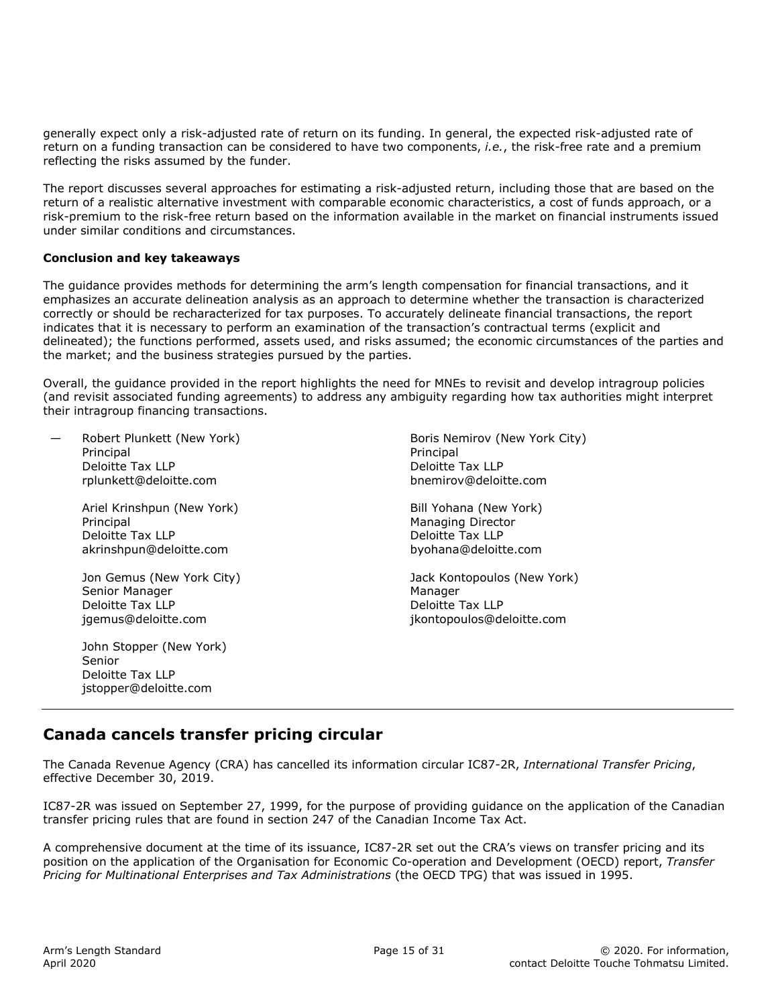generally expect only a risk-adjusted rate of return on its funding. In general, the expected risk-adjusted rate of return on a funding transaction can be considered to have two components, *i.e.*, the risk-free rate and a premium reflecting the risks assumed by the funder.

The report discusses several approaches for estimating a risk-adjusted return, including those that are based on the return of a realistic alternative investment with comparable economic characteristics, a cost of funds approach, or a risk-premium to the risk-free return based on the information available in the market on financial instruments issued under similar conditions and circumstances.

#### **Conclusion and key takeaways**

The guidance provides methods for determining the arm's length compensation for financial transactions, and it emphasizes an accurate delineation analysis as an approach to determine whether the transaction is characterized correctly or should be recharacterized for tax purposes. To accurately delineate financial transactions, the report indicates that it is necessary to perform an examination of the transaction's contractual terms (explicit and delineated); the functions performed, assets used, and risks assumed; the economic circumstances of the parties and the market; and the business strategies pursued by the parties.

Overall, the guidance provided in the report highlights the need for MNEs to revisit and develop intragroup policies (and revisit associated funding agreements) to address any ambiguity regarding how tax authorities might interpret their intragroup financing transactions.

— Robert Plunkett (New York) Principal Deloitte Tax LLP rplunkett@deloitte.com

> Ariel Krinshpun (New York) Principal Deloitte Tax LLP akrinshpun@deloitte.com

 Jon Gemus (New York City) Senior Manager Deloitte Tax LLP jgemus@deloitte.com

 John Stopper (New York) Senior Deloitte Tax LLP jstopper@deloitte.com

Boris Nemirov (New York City) Principal Deloitte Tax LLP bnemirov@deloitte.com

Bill Yohana (New York) Managing Director Deloitte Tax LLP byohana@deloitte.com

Jack Kontopoulos (New York) Manager Deloitte Tax LLP jkontopoulos@deloitte.com

# **Canada cancels transfer pricing circular**

The Canada Revenue Agency (CRA) has cancelled its information circular IC87-2R, *International Transfer Pricing*, effective December 30, 2019.

IC87-2R was issued on September 27, 1999, for the purpose of providing guidance on the application of the Canadian transfer pricing rules that are found in section 247 of the Canadian Income Tax Act.

A comprehensive document at the time of its issuance, IC87-2R set out the CRA's views on transfer pricing and its position on the application of the Organisation for Economic Co-operation and Development (OECD) report, *Transfer Pricing for Multinational Enterprises and Tax Administrations* (the OECD TPG) that was issued in 1995.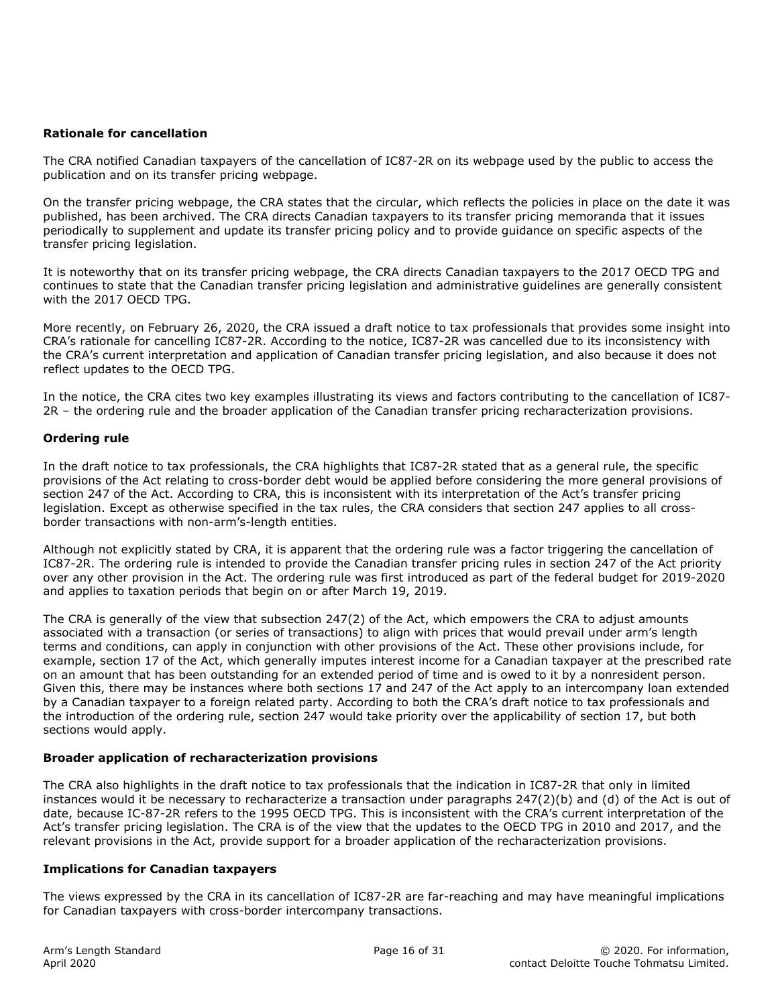#### **Rationale for cancellation**

The CRA notified Canadian taxpayers of the cancellation of IC87-2R on its webpage used by the public to access the publication and on its transfer pricing webpage.

On the transfer pricing webpage, the CRA states that the circular, which reflects the policies in place on the date it was published, has been archived. The CRA directs Canadian taxpayers to its transfer pricing memoranda that it issues periodically to supplement and update its transfer pricing policy and to provide guidance on specific aspects of the transfer pricing legislation.

It is noteworthy that on its transfer pricing webpage, the CRA directs Canadian taxpayers to the 2017 OECD TPG and continues to state that the Canadian transfer pricing legislation and administrative guidelines are generally consistent with the 2017 OECD TPG.

More recently, on February 26, 2020, the CRA issued a draft notice to tax professionals that provides some insight into CRA's rationale for cancelling IC87-2R. According to the notice, IC87-2R was cancelled due to its inconsistency with the CRA's current interpretation and application of Canadian transfer pricing legislation, and also because it does not reflect updates to the OECD TPG.

In the notice, the CRA cites two key examples illustrating its views and factors contributing to the cancellation of IC87- 2R – the ordering rule and the broader application of the Canadian transfer pricing recharacterization provisions.

#### **Ordering rule**

In the draft notice to tax professionals, the CRA highlights that IC87-2R stated that as a general rule, the specific provisions of the Act relating to cross-border debt would be applied before considering the more general provisions of section 247 of the Act. According to CRA, this is inconsistent with its interpretation of the Act's transfer pricing legislation. Except as otherwise specified in the tax rules, the CRA considers that section 247 applies to all crossborder transactions with non-arm's-length entities.

Although not explicitly stated by CRA, it is apparent that the ordering rule was a factor triggering the cancellation of IC87-2R. The ordering rule is intended to provide the Canadian transfer pricing rules in section 247 of the Act priority over any other provision in the Act. The ordering rule was first introduced as part of the federal budget for 2019-2020 and applies to taxation periods that begin on or after March 19, 2019.

The CRA is generally of the view that subsection 247(2) of the Act, which empowers the CRA to adjust amounts associated with a transaction (or series of transactions) to align with prices that would prevail under arm's length terms and conditions, can apply in conjunction with other provisions of the Act. These other provisions include, for example, section 17 of the Act, which generally imputes interest income for a Canadian taxpayer at the prescribed rate on an amount that has been outstanding for an extended period of time and is owed to it by a nonresident person. Given this, there may be instances where both sections 17 and 247 of the Act apply to an intercompany loan extended by a Canadian taxpayer to a foreign related party. According to both the CRA's draft notice to tax professionals and the introduction of the ordering rule, section 247 would take priority over the applicability of section 17, but both sections would apply.

#### **Broader application of recharacterization provisions**

The CRA also highlights in the draft notice to tax professionals that the indication in IC87-2R that only in limited instances would it be necessary to recharacterize a transaction under paragraphs 247(2)(b) and (d) of the Act is out of date, because IC-87-2R refers to the 1995 OECD TPG. This is inconsistent with the CRA's current interpretation of the Act's transfer pricing legislation. The CRA is of the view that the updates to the OECD TPG in 2010 and 2017, and the relevant provisions in the Act, provide support for a broader application of the recharacterization provisions.

#### **Implications for Canadian taxpayers**

The views expressed by the CRA in its cancellation of IC87-2R are far-reaching and may have meaningful implications for Canadian taxpayers with cross-border intercompany transactions.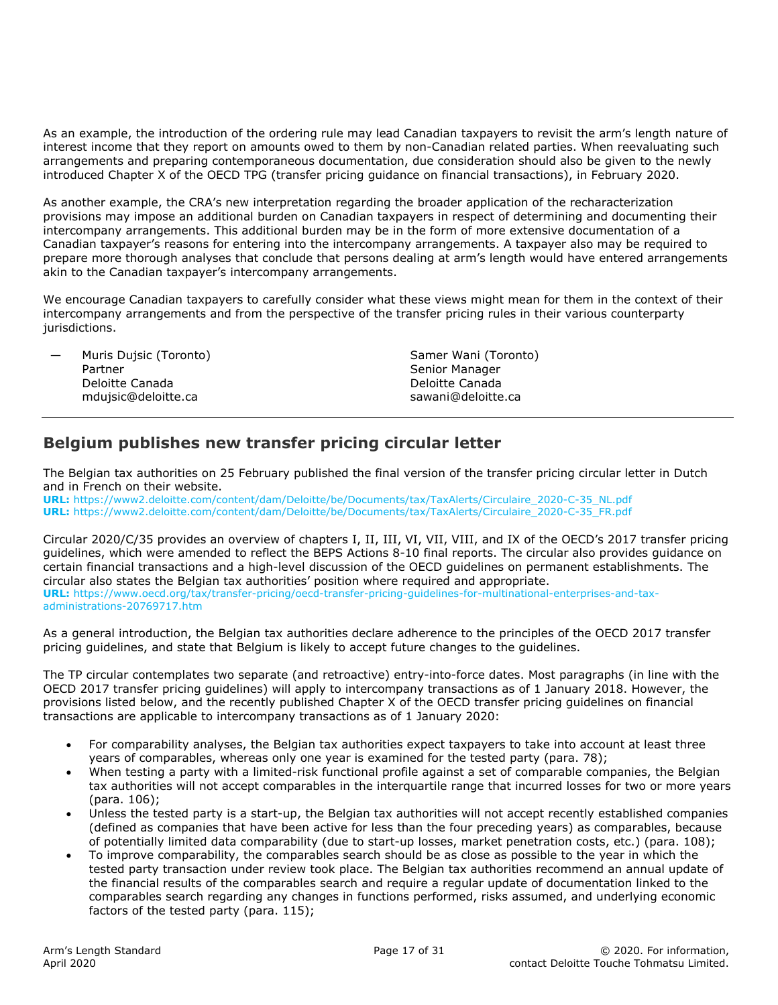As an example, the introduction of the ordering rule may lead Canadian taxpayers to revisit the arm's length nature of interest income that they report on amounts owed to them by non-Canadian related parties. When reevaluating such arrangements and preparing contemporaneous documentation, due consideration should also be given to the newly introduced Chapter X of the OECD TPG (transfer pricing guidance on financial transactions), in February 2020.

As another example, the CRA's new interpretation regarding the broader application of the recharacterization provisions may impose an additional burden on Canadian taxpayers in respect of determining and documenting their intercompany arrangements. This additional burden may be in the form of more extensive documentation of a Canadian taxpayer's reasons for entering into the intercompany arrangements. A taxpayer also may be required to prepare more thorough analyses that conclude that persons dealing at arm's length would have entered arrangements akin to the Canadian taxpayer's intercompany arrangements.

We encourage Canadian taxpayers to carefully consider what these views might mean for them in the context of their intercompany arrangements and from the perspective of the transfer pricing rules in their various counterparty jurisdictions.

| Muris Duisic (Toronto)<br>$\overline{\phantom{a}}$ | Samer Wani (Toronto) |
|----------------------------------------------------|----------------------|
| Partner                                            | Senior Manager       |
| Deloitte Canada                                    | Deloitte Canada      |
| mduisic@deloitte.ca                                | sawani@deloitte.ca   |

# **Belgium publishes new transfer pricing circular letter**

The Belgian tax authorities on 25 February published the final version of the transfer pricing circular letter in Dutch and in French on their website.

**URL:** https://www2.deloitte.com/content/dam/Deloitte/be/Documents/tax/TaxAlerts/Circulaire\_2020-C-35\_NL.pdf **URL:** https://www2.deloitte.com/content/dam/Deloitte/be/Documents/tax/TaxAlerts/Circulaire\_2020-C-35\_FR.pdf

Circular 2020/C/35 provides an overview of chapters I, II, III, VI, VII, VIII, and IX of the OECD's 2017 transfer pricing guidelines, which were amended to reflect the BEPS Actions 8-10 final reports. The circular also provides guidance on certain financial transactions and a high-level discussion of the OECD guidelines on permanent establishments. The circular also states the Belgian tax authorities' position where required and appropriate. **URL:** https://www.oecd.org/tax/transfer-pricing/oecd-transfer-pricing-guidelines-for-multinational-enterprises-and-taxadministrations-20769717.htm

As a general introduction, the Belgian tax authorities declare adherence to the principles of the OECD 2017 transfer pricing guidelines, and state that Belgium is likely to accept future changes to the guidelines.

The TP circular contemplates two separate (and retroactive) entry-into-force dates. Most paragraphs (in line with the OECD 2017 transfer pricing guidelines) will apply to intercompany transactions as of 1 January 2018. However, the provisions listed below, and the recently published Chapter X of the OECD transfer pricing guidelines on financial transactions are applicable to intercompany transactions as of 1 January 2020:

- For comparability analyses, the Belgian tax authorities expect taxpayers to take into account at least three years of comparables, whereas only one year is examined for the tested party (para. 78);
- When testing a party with a limited-risk functional profile against a set of comparable companies, the Belgian tax authorities will not accept comparables in the interquartile range that incurred losses for two or more years (para. 106);
- Unless the tested party is a start-up, the Belgian tax authorities will not accept recently established companies (defined as companies that have been active for less than the four preceding years) as comparables, because of potentially limited data comparability (due to start-up losses, market penetration costs, etc.) (para. 108);
- To improve comparability, the comparables search should be as close as possible to the year in which the tested party transaction under review took place. The Belgian tax authorities recommend an annual update of the financial results of the comparables search and require a regular update of documentation linked to the comparables search regarding any changes in functions performed, risks assumed, and underlying economic factors of the tested party (para. 115);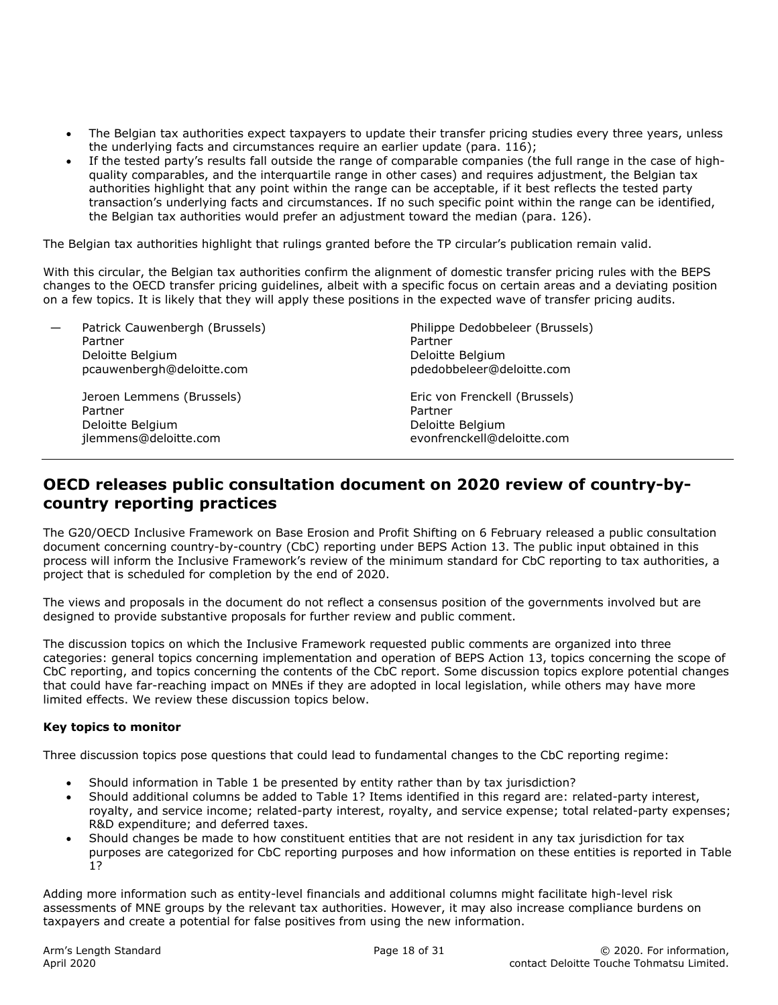- The Belgian tax authorities expect taxpayers to update their transfer pricing studies every three years, unless the underlying facts and circumstances require an earlier update (para. 116);
- If the tested party's results fall outside the range of comparable companies (the full range in the case of highquality comparables, and the interquartile range in other cases) and requires adjustment, the Belgian tax authorities highlight that any point within the range can be acceptable, if it best reflects the tested party transaction's underlying facts and circumstances. If no such specific point within the range can be identified, the Belgian tax authorities would prefer an adjustment toward the median (para. 126).

The Belgian tax authorities highlight that rulings granted before the TP circular's publication remain valid.

With this circular, the Belgian tax authorities confirm the alignment of domestic transfer pricing rules with the BEPS changes to the OECD transfer pricing guidelines, albeit with a specific focus on certain areas and a deviating position on a few topics. It is likely that they will apply these positions in the expected wave of transfer pricing audits.

| Patrick Cauwenbergh (Brussels)<br>Partner<br>Deloitte Belgium<br>pcauwenbergh@deloitte.com | Philippe Dedobbeleer (Brussels)<br>Partner<br>Deloitte Belgium<br>pdedobbeleer@deloitte.com |
|--------------------------------------------------------------------------------------------|---------------------------------------------------------------------------------------------|
| Jeroen Lemmens (Brussels)<br>Partner<br>Deloitte Belgium<br>jlemmens@deloitte.com          | Eric von Frenckell (Brussels)<br>Partner<br>Deloitte Belgium<br>evonfrenckell@deloitte.com  |

## **OECD releases public consultation document on 2020 review of country-bycountry reporting practices**

The G20/OECD Inclusive Framework on Base Erosion and Profit Shifting on 6 February released a public consultation document concerning country-by-country (CbC) reporting under BEPS Action 13. The public input obtained in this process will inform the Inclusive Framework's review of the minimum standard for CbC reporting to tax authorities, a project that is scheduled for completion by the end of 2020.

The views and proposals in the document do not reflect a consensus position of the governments involved but are designed to provide substantive proposals for further review and public comment.

The discussion topics on which the Inclusive Framework requested public comments are organized into three categories: general topics concerning implementation and operation of BEPS Action 13, topics concerning the scope of CbC reporting, and topics concerning the contents of the CbC report. Some discussion topics explore potential changes that could have far-reaching impact on MNEs if they are adopted in local legislation, while others may have more limited effects. We review these discussion topics below.

#### **Key topics to monitor**

Three discussion topics pose questions that could lead to fundamental changes to the CbC reporting regime:

- Should information in Table 1 be presented by entity rather than by tax jurisdiction?
- Should additional columns be added to Table 1? Items identified in this regard are: related-party interest, royalty, and service income; related-party interest, royalty, and service expense; total related-party expenses; R&D expenditure; and deferred taxes.
- Should changes be made to how constituent entities that are not resident in any tax jurisdiction for tax purposes are categorized for CbC reporting purposes and how information on these entities is reported in Table 1?

Adding more information such as entity-level financials and additional columns might facilitate high-level risk assessments of MNE groups by the relevant tax authorities. However, it may also increase compliance burdens on taxpayers and create a potential for false positives from using the new information.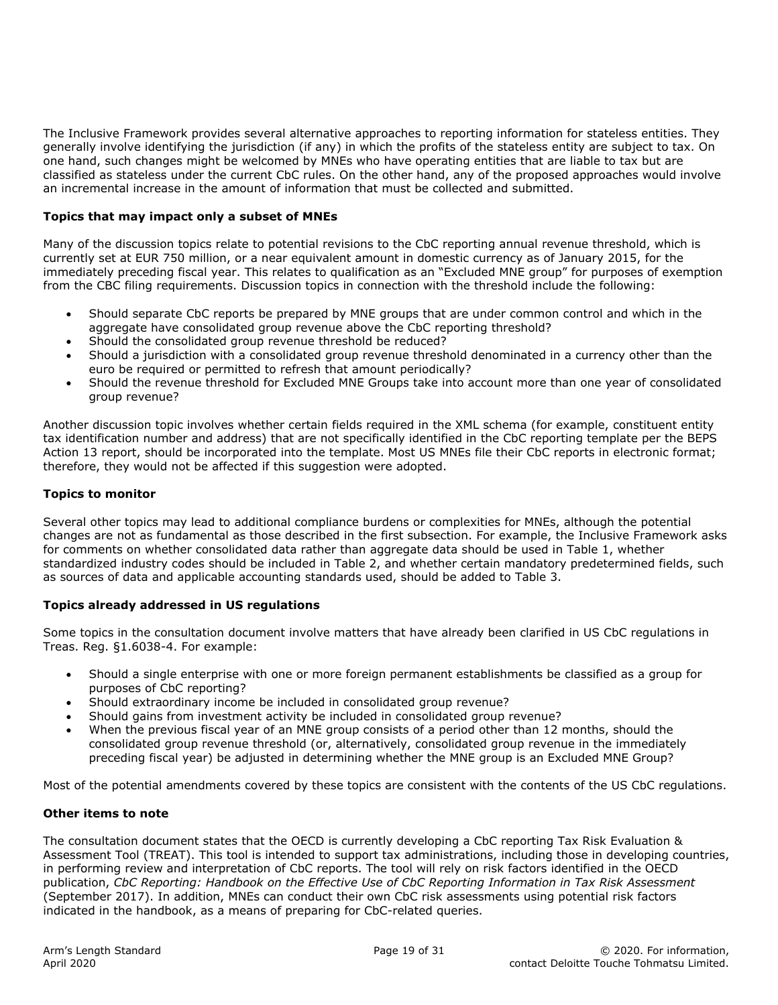The Inclusive Framework provides several alternative approaches to reporting information for stateless entities. They generally involve identifying the jurisdiction (if any) in which the profits of the stateless entity are subject to tax. On one hand, such changes might be welcomed by MNEs who have operating entities that are liable to tax but are classified as stateless under the current CbC rules. On the other hand, any of the proposed approaches would involve an incremental increase in the amount of information that must be collected and submitted.

#### **Topics that may impact only a subset of MNEs**

Many of the discussion topics relate to potential revisions to the CbC reporting annual revenue threshold, which is currently set at EUR 750 million, or a near equivalent amount in domestic currency as of January 2015, for the immediately preceding fiscal year. This relates to qualification as an "Excluded MNE group" for purposes of exemption from the CBC filing requirements. Discussion topics in connection with the threshold include the following:

- Should separate CbC reports be prepared by MNE groups that are under common control and which in the aggregate have consolidated group revenue above the CbC reporting threshold?
- Should the consolidated group revenue threshold be reduced?
- Should a jurisdiction with a consolidated group revenue threshold denominated in a currency other than the euro be required or permitted to refresh that amount periodically?
- Should the revenue threshold for Excluded MNE Groups take into account more than one year of consolidated group revenue?

Another discussion topic involves whether certain fields required in the XML schema (for example, constituent entity tax identification number and address) that are not specifically identified in the CbC reporting template per the BEPS Action 13 report, should be incorporated into the template. Most US MNEs file their CbC reports in electronic format; therefore, they would not be affected if this suggestion were adopted.

#### **Topics to monitor**

Several other topics may lead to additional compliance burdens or complexities for MNEs, although the potential changes are not as fundamental as those described in the first subsection. For example, the Inclusive Framework asks for comments on whether consolidated data rather than aggregate data should be used in Table 1, whether standardized industry codes should be included in Table 2, and whether certain mandatory predetermined fields, such as sources of data and applicable accounting standards used, should be added to Table 3.

#### **Topics already addressed in US regulations**

Some topics in the consultation document involve matters that have already been clarified in US CbC regulations in Treas. Reg. §1.6038-4. For example:

- Should a single enterprise with one or more foreign permanent establishments be classified as a group for purposes of CbC reporting?
- Should extraordinary income be included in consolidated group revenue?
- Should gains from investment activity be included in consolidated group revenue?
- When the previous fiscal year of an MNE group consists of a period other than 12 months, should the consolidated group revenue threshold (or, alternatively, consolidated group revenue in the immediately preceding fiscal year) be adjusted in determining whether the MNE group is an Excluded MNE Group?

Most of the potential amendments covered by these topics are consistent with the contents of the US CbC regulations.

#### **Other items to note**

The consultation document states that the OECD is currently developing a CbC reporting Tax Risk Evaluation & Assessment Tool (TREAT). This tool is intended to support tax administrations, including those in developing countries, in performing review and interpretation of CbC reports. The tool will rely on risk factors identified in the OECD publication, *CbC Reporting: Handbook on the Effective Use of CbC Reporting Information in Tax Risk Assessment* (September 2017). In addition, MNEs can conduct their own CbC risk assessments using potential risk factors indicated in the handbook, as a means of preparing for CbC-related queries.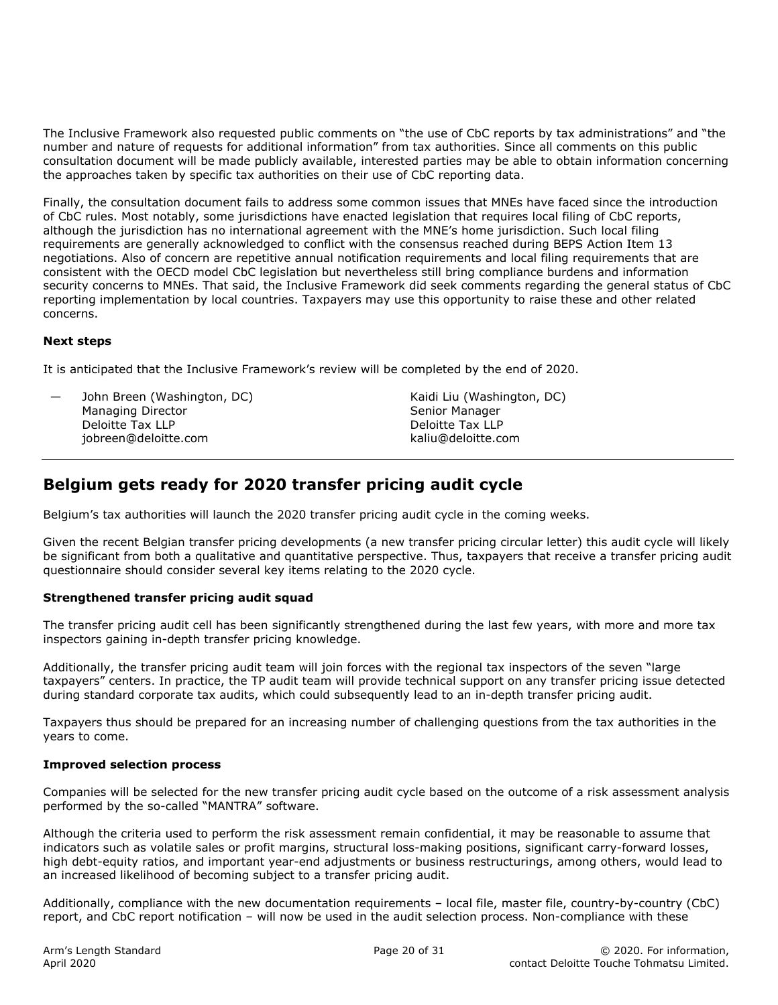The Inclusive Framework also requested public comments on "the use of CbC reports by tax administrations" and "the number and nature of requests for additional information" from tax authorities. Since all comments on this public consultation document will be made publicly available, interested parties may be able to obtain information concerning the approaches taken by specific tax authorities on their use of CbC reporting data.

Finally, the consultation document fails to address some common issues that MNEs have faced since the introduction of CbC rules. Most notably, some jurisdictions have enacted legislation that requires local filing of CbC reports, although the jurisdiction has no international agreement with the MNE's home jurisdiction. Such local filing requirements are generally acknowledged to conflict with the consensus reached during BEPS Action Item 13 negotiations. Also of concern are repetitive annual notification requirements and local filing requirements that are consistent with the OECD model CbC legislation but nevertheless still bring compliance burdens and information security concerns to MNEs. That said, the Inclusive Framework did seek comments regarding the general status of CbC reporting implementation by local countries. Taxpayers may use this opportunity to raise these and other related concerns.

#### **Next steps**

It is anticipated that the Inclusive Framework's review will be completed by the end of 2020.

John Breen (Washington, DC) Managing Director Deloitte Tax LLP jobreen@deloitte.com

Kaidi Liu (Washington, DC) Senior Manager Deloitte Tax LLP kaliu@deloitte.com

# **Belgium gets ready for 2020 transfer pricing audit cycle**

Belgium's tax authorities will launch the 2020 transfer pricing audit cycle in the coming weeks.

Given the recent Belgian transfer pricing developments (a new transfer pricing circular letter) this audit cycle will likely be significant from both a qualitative and quantitative perspective. Thus, taxpayers that receive a transfer pricing audit questionnaire should consider several key items relating to the 2020 cycle.

#### **Strengthened transfer pricing audit squad**

The transfer pricing audit cell has been significantly strengthened during the last few years, with more and more tax inspectors gaining in-depth transfer pricing knowledge.

Additionally, the transfer pricing audit team will join forces with the regional tax inspectors of the seven "large taxpayers" centers. In practice, the TP audit team will provide technical support on any transfer pricing issue detected during standard corporate tax audits, which could subsequently lead to an in-depth transfer pricing audit.

Taxpayers thus should be prepared for an increasing number of challenging questions from the tax authorities in the years to come.

#### **Improved selection process**

Companies will be selected for the new transfer pricing audit cycle based on the outcome of a risk assessment analysis performed by the so-called "MANTRA" software.

Although the criteria used to perform the risk assessment remain confidential, it may be reasonable to assume that indicators such as volatile sales or profit margins, structural loss-making positions, significant carry-forward losses, high debt-equity ratios, and important year-end adjustments or business restructurings, among others, would lead to an increased likelihood of becoming subject to a transfer pricing audit.

Additionally, compliance with the new documentation requirements – local file, master file, country-by-country (CbC) report, and CbC report notification – will now be used in the audit selection process. Non-compliance with these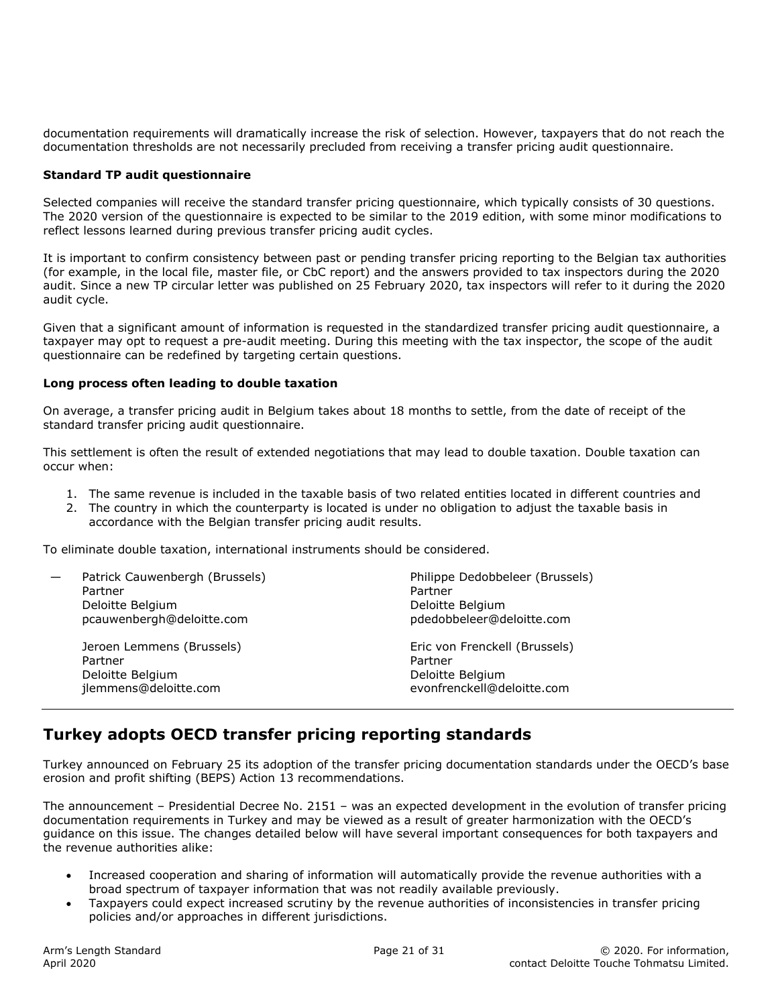documentation requirements will dramatically increase the risk of selection. However, taxpayers that do not reach the documentation thresholds are not necessarily precluded from receiving a transfer pricing audit questionnaire.

#### **Standard TP audit questionnaire**

Selected companies will receive the standard transfer pricing questionnaire, which typically consists of 30 questions. The 2020 version of the questionnaire is expected to be similar to the 2019 edition, with some minor modifications to reflect lessons learned during previous transfer pricing audit cycles.

It is important to confirm consistency between past or pending transfer pricing reporting to the Belgian tax authorities (for example, in the local file, master file, or CbC report) and the answers provided to tax inspectors during the 2020 audit. Since a new TP circular letter was published on 25 February 2020, tax inspectors will refer to it during the 2020 audit cycle.

Given that a significant amount of information is requested in the standardized transfer pricing audit questionnaire, a taxpayer may opt to request a pre-audit meeting. During this meeting with the tax inspector, the scope of the audit questionnaire can be redefined by targeting certain questions.

#### **Long process often leading to double taxation**

On average, a transfer pricing audit in Belgium takes about 18 months to settle, from the date of receipt of the standard transfer pricing audit questionnaire.

This settlement is often the result of extended negotiations that may lead to double taxation. Double taxation can occur when:

- 1. The same revenue is included in the taxable basis of two related entities located in different countries and
- 2. The country in which the counterparty is located is under no obligation to adjust the taxable basis in accordance with the Belgian transfer pricing audit results.

To eliminate double taxation, international instruments should be considered.

| Patrick Cauwenbergh (Brussels)<br>Partner<br>Deloitte Belgium<br>pcauwenbergh@deloitte.com | Philippe Dedobbeleer (Brussels)<br>Partner<br>Deloitte Belgium<br>pdedobbeleer@deloitte.com |
|--------------------------------------------------------------------------------------------|---------------------------------------------------------------------------------------------|
| Jeroen Lemmens (Brussels)<br>Partner<br>Deloitte Belgium<br>jlemmens@deloitte.com          | Eric von Frenckell (Brussels)<br>Partner<br>Deloitte Belgium<br>evonfrenckell@deloitte.com  |

## **Turkey adopts OECD transfer pricing reporting standards**

Turkey announced on February 25 its adoption of the transfer pricing documentation standards under the OECD's base erosion and profit shifting (BEPS) Action 13 recommendations.

The announcement – Presidential Decree No. 2151 – was an expected development in the evolution of transfer pricing documentation requirements in Turkey and may be viewed as a result of greater harmonization with the OECD's guidance on this issue. The changes detailed below will have several important consequences for both taxpayers and the revenue authorities alike:

- Increased cooperation and sharing of information will automatically provide the revenue authorities with a broad spectrum of taxpayer information that was not readily available previously.
- Taxpayers could expect increased scrutiny by the revenue authorities of inconsistencies in transfer pricing policies and/or approaches in different jurisdictions.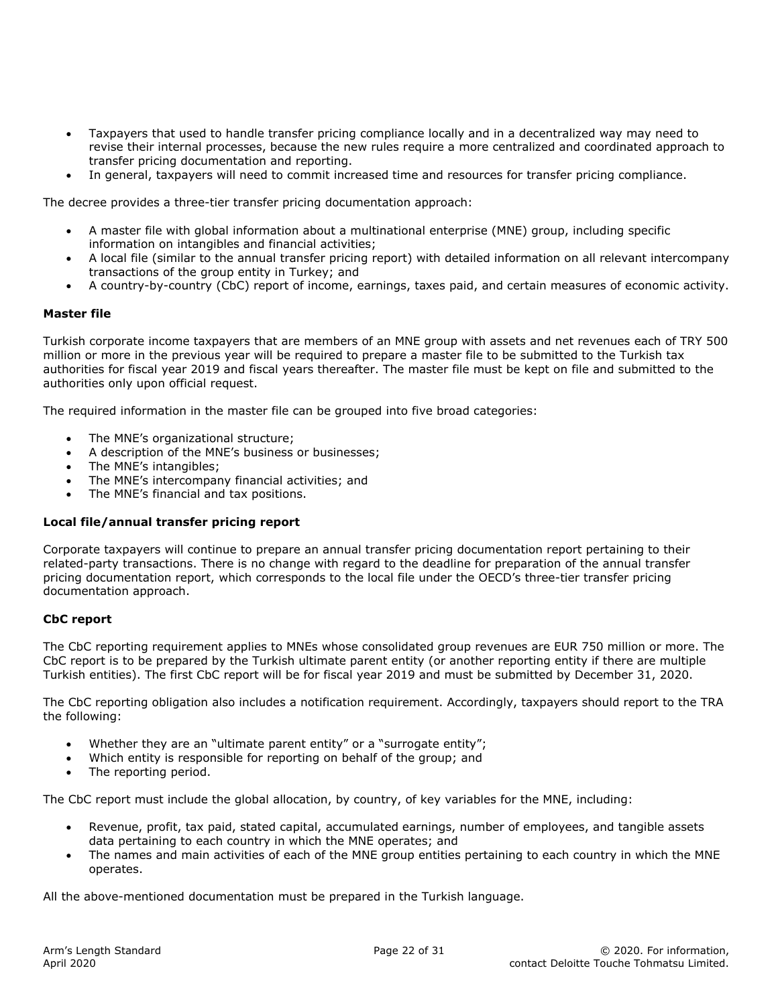- Taxpayers that used to handle transfer pricing compliance locally and in a decentralized way may need to revise their internal processes, because the new rules require a more centralized and coordinated approach to transfer pricing documentation and reporting.
- In general, taxpayers will need to commit increased time and resources for transfer pricing compliance.

The decree provides a three-tier transfer pricing documentation approach:

- A master file with global information about a multinational enterprise (MNE) group, including specific information on intangibles and financial activities;
- A local file (similar to the annual transfer pricing report) with detailed information on all relevant intercompany transactions of the group entity in Turkey; and
- A country-by-country (CbC) report of income, earnings, taxes paid, and certain measures of economic activity.

#### **Master file**

Turkish corporate income taxpayers that are members of an MNE group with assets and net revenues each of TRY 500 million or more in the previous year will be required to prepare a master file to be submitted to the Turkish tax authorities for fiscal year 2019 and fiscal years thereafter. The master file must be kept on file and submitted to the authorities only upon official request.

The required information in the master file can be grouped into five broad categories:

- The MNE's organizational structure;
- A description of the MNE's business or businesses;
- The MNE's intangibles;
- The MNE's intercompany financial activities; and
- The MNE's financial and tax positions.

#### **Local file/annual transfer pricing report**

Corporate taxpayers will continue to prepare an annual transfer pricing documentation report pertaining to their related-party transactions. There is no change with regard to the deadline for preparation of the annual transfer pricing documentation report, which corresponds to the local file under the OECD's three-tier transfer pricing documentation approach.

#### **CbC report**

The CbC reporting requirement applies to MNEs whose consolidated group revenues are EUR 750 million or more. The CbC report is to be prepared by the Turkish ultimate parent entity (or another reporting entity if there are multiple Turkish entities). The first CbC report will be for fiscal year 2019 and must be submitted by December 31, 2020.

The CbC reporting obligation also includes a notification requirement. Accordingly, taxpayers should report to the TRA the following:

- Whether they are an "ultimate parent entity" or a "surrogate entity";
- Which entity is responsible for reporting on behalf of the group; and
- The reporting period.

The CbC report must include the global allocation, by country, of key variables for the MNE, including:

- Revenue, profit, tax paid, stated capital, accumulated earnings, number of employees, and tangible assets data pertaining to each country in which the MNE operates; and
- The names and main activities of each of the MNE group entities pertaining to each country in which the MNE operates.

All the above-mentioned documentation must be prepared in the Turkish language.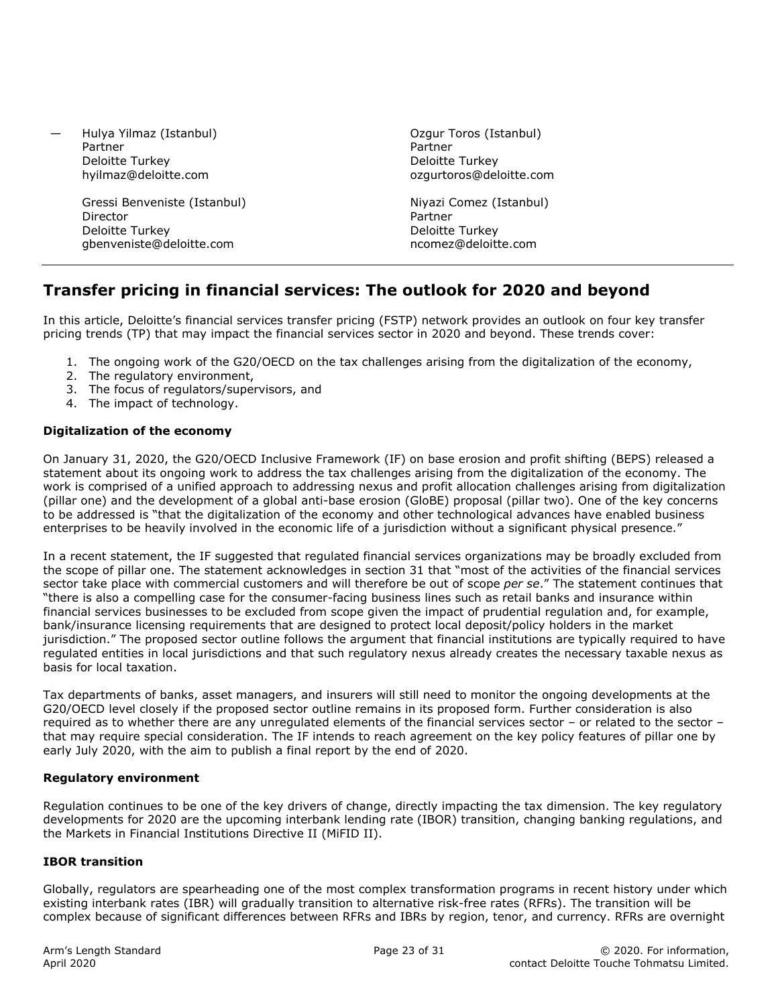— Hulya Yilmaz (Istanbul) Partner Deloitte Turkey hyilmaz@deloitte.com

> Gressi Benveniste (Istanbul) Director Deloitte Turkey gbenveniste@deloitte.com

Ozgur Toros (Istanbul) Partner Deloitte Turkey ozgurtoros@deloitte.com

Niyazi Comez (Istanbul) Partner Deloitte Turkey ncomez@deloitte.com

# **Transfer pricing in financial services: The outlook for 2020 and beyond**

In this article, Deloitte's financial services transfer pricing (FSTP) network provides an outlook on four key transfer pricing trends (TP) that may impact the financial services sector in 2020 and beyond. These trends cover:

- 1. The ongoing work of the G20/OECD on the tax challenges arising from the digitalization of the economy,
- 2. The regulatory environment,
- 3. The focus of regulators/supervisors, and
- 4. The impact of technology.

#### **Digitalization of the economy**

On January 31, 2020, the G20/OECD Inclusive Framework (IF) on base erosion and profit shifting (BEPS) released a statement about its ongoing work to address the tax challenges arising from the digitalization of the economy. The work is comprised of a unified approach to addressing nexus and profit allocation challenges arising from digitalization (pillar one) and the development of a global anti-base erosion (GloBE) proposal (pillar two). One of the key concerns to be addressed is "that the digitalization of the economy and other technological advances have enabled business enterprises to be heavily involved in the economic life of a jurisdiction without a significant physical presence."

In a recent statement, the IF suggested that regulated financial services organizations may be broadly excluded from the scope of pillar one. The statement acknowledges in section 31 that "most of the activities of the financial services sector take place with commercial customers and will therefore be out of scope *per se*." The statement continues that "there is also a compelling case for the consumer-facing business lines such as retail banks and insurance within financial services businesses to be excluded from scope given the impact of prudential regulation and, for example, bank/insurance licensing requirements that are designed to protect local deposit/policy holders in the market jurisdiction." The proposed sector outline follows the argument that financial institutions are typically required to have regulated entities in local jurisdictions and that such regulatory nexus already creates the necessary taxable nexus as basis for local taxation.

Tax departments of banks, asset managers, and insurers will still need to monitor the ongoing developments at the G20/OECD level closely if the proposed sector outline remains in its proposed form. Further consideration is also required as to whether there are any unregulated elements of the financial services sector – or related to the sector – that may require special consideration. The IF intends to reach agreement on the key policy features of pillar one by early July 2020, with the aim to publish a final report by the end of 2020.

#### **Regulatory environment**

Regulation continues to be one of the key drivers of change, directly impacting the tax dimension. The key regulatory developments for 2020 are the upcoming interbank lending rate (IBOR) transition, changing banking regulations, and the Markets in Financial Institutions Directive II (MiFID II).

#### **IBOR transition**

Globally, regulators are spearheading one of the most complex transformation programs in recent history under which existing interbank rates (IBR) will gradually transition to alternative risk-free rates (RFRs). The transition will be complex because of significant differences between RFRs and IBRs by region, tenor, and currency. RFRs are overnight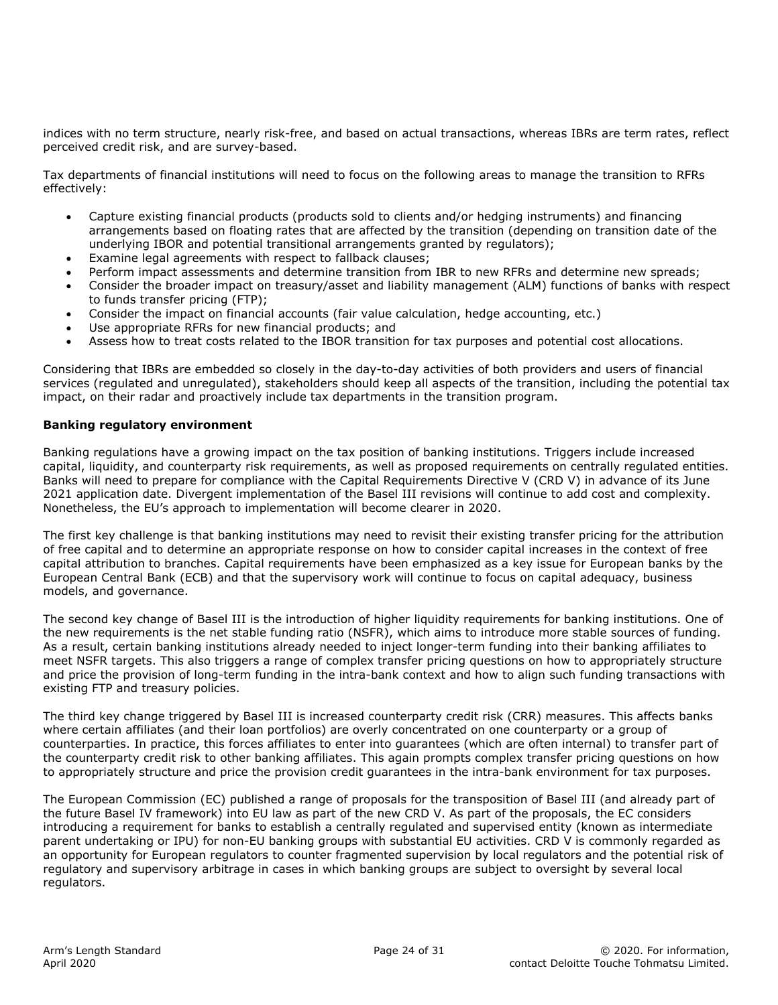indices with no term structure, nearly risk-free, and based on actual transactions, whereas IBRs are term rates, reflect perceived credit risk, and are survey-based.

Tax departments of financial institutions will need to focus on the following areas to manage the transition to RFRs effectively:

- Capture existing financial products (products sold to clients and/or hedging instruments) and financing arrangements based on floating rates that are affected by the transition (depending on transition date of the underlying IBOR and potential transitional arrangements granted by regulators);
- Examine legal agreements with respect to fallback clauses;
- Perform impact assessments and determine transition from IBR to new RFRs and determine new spreads;
- Consider the broader impact on treasury/asset and liability management (ALM) functions of banks with respect to funds transfer pricing (FTP);
- Consider the impact on financial accounts (fair value calculation, hedge accounting, etc.)
- Use appropriate RFRs for new financial products; and
- Assess how to treat costs related to the IBOR transition for tax purposes and potential cost allocations.

Considering that IBRs are embedded so closely in the day-to-day activities of both providers and users of financial services (regulated and unregulated), stakeholders should keep all aspects of the transition, including the potential tax impact, on their radar and proactively include tax departments in the transition program.

#### **Banking regulatory environment**

Banking regulations have a growing impact on the tax position of banking institutions. Triggers include increased capital, liquidity, and counterparty risk requirements, as well as proposed requirements on centrally regulated entities. Banks will need to prepare for compliance with the Capital Requirements Directive V (CRD V) in advance of its June 2021 application date. Divergent implementation of the Basel III revisions will continue to add cost and complexity. Nonetheless, the EU's approach to implementation will become clearer in 2020.

The first key challenge is that banking institutions may need to revisit their existing transfer pricing for the attribution of free capital and to determine an appropriate response on how to consider capital increases in the context of free capital attribution to branches. Capital requirements have been emphasized as a key issue for European banks by the European Central Bank (ECB) and that the supervisory work will continue to focus on capital adequacy, business models, and governance.

The second key change of Basel III is the introduction of higher liquidity requirements for banking institutions. One of the new requirements is the net stable funding ratio (NSFR), which aims to introduce more stable sources of funding. As a result, certain banking institutions already needed to inject longer-term funding into their banking affiliates to meet NSFR targets. This also triggers a range of complex transfer pricing questions on how to appropriately structure and price the provision of long-term funding in the intra-bank context and how to align such funding transactions with existing FTP and treasury policies.

The third key change triggered by Basel III is increased counterparty credit risk (CRR) measures. This affects banks where certain affiliates (and their loan portfolios) are overly concentrated on one counterparty or a group of counterparties. In practice, this forces affiliates to enter into guarantees (which are often internal) to transfer part of the counterparty credit risk to other banking affiliates. This again prompts complex transfer pricing questions on how to appropriately structure and price the provision credit guarantees in the intra-bank environment for tax purposes.

The European Commission (EC) published a range of proposals for the transposition of Basel III (and already part of the future Basel IV framework) into EU law as part of the new CRD V. As part of the proposals, the EC considers introducing a requirement for banks to establish a centrally regulated and supervised entity (known as intermediate parent undertaking or IPU) for non-EU banking groups with substantial EU activities. CRD V is commonly regarded as an opportunity for European regulators to counter fragmented supervision by local regulators and the potential risk of regulatory and supervisory arbitrage in cases in which banking groups are subject to oversight by several local regulators.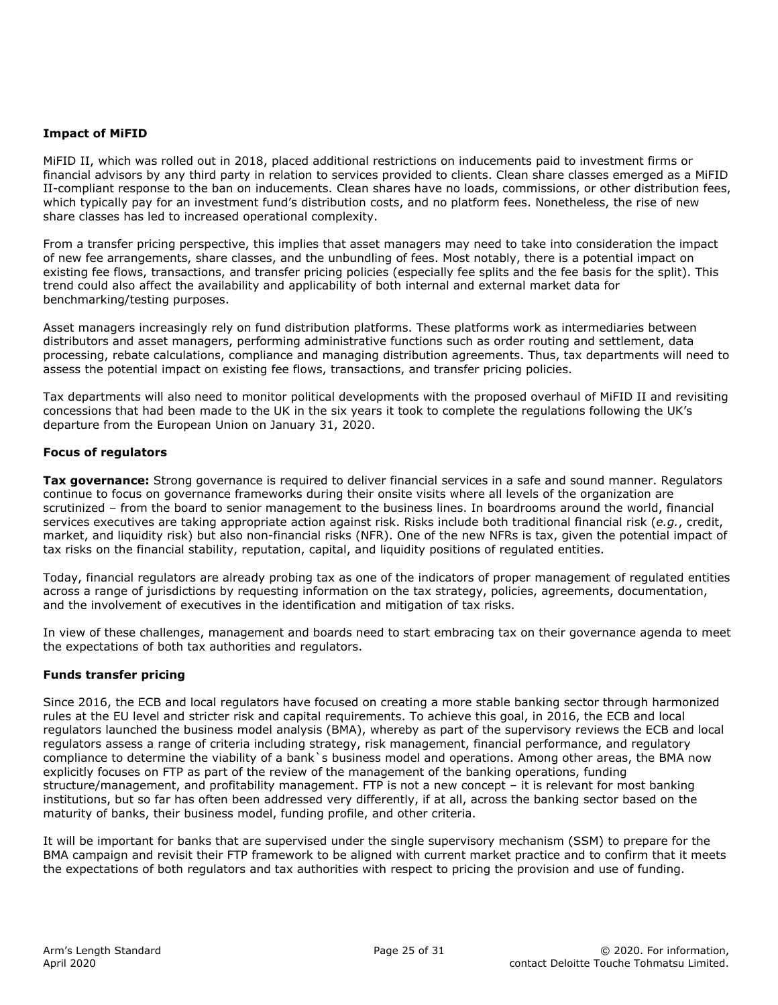#### **Impact of MiFID**

MiFID II, which was rolled out in 2018, placed additional restrictions on inducements paid to investment firms or financial advisors by any third party in relation to services provided to clients. Clean share classes emerged as a MiFID II-compliant response to the ban on inducements. Clean shares have no loads, commissions, or other distribution fees, which typically pay for an investment fund's distribution costs, and no platform fees. Nonetheless, the rise of new share classes has led to increased operational complexity.

From a transfer pricing perspective, this implies that asset managers may need to take into consideration the impact of new fee arrangements, share classes, and the unbundling of fees. Most notably, there is a potential impact on existing fee flows, transactions, and transfer pricing policies (especially fee splits and the fee basis for the split). This trend could also affect the availability and applicability of both internal and external market data for benchmarking/testing purposes.

Asset managers increasingly rely on fund distribution platforms. These platforms work as intermediaries between distributors and asset managers, performing administrative functions such as order routing and settlement, data processing, rebate calculations, compliance and managing distribution agreements. Thus, tax departments will need to assess the potential impact on existing fee flows, transactions, and transfer pricing policies.

Tax departments will also need to monitor political developments with the proposed overhaul of MiFID II and revisiting concessions that had been made to the UK in the six years it took to complete the regulations following the UK's departure from the European Union on January 31, 2020.

#### **Focus of regulators**

**Tax governance:** Strong governance is required to deliver financial services in a safe and sound manner. Regulators continue to focus on governance frameworks during their onsite visits where all levels of the organization are scrutinized – from the board to senior management to the business lines. In boardrooms around the world, financial services executives are taking appropriate action against risk. Risks include both traditional financial risk (*e.g.*, credit, market, and liquidity risk) but also non-financial risks (NFR). One of the new NFRs is tax, given the potential impact of tax risks on the financial stability, reputation, capital, and liquidity positions of regulated entities.

Today, financial regulators are already probing tax as one of the indicators of proper management of regulated entities across a range of jurisdictions by requesting information on the tax strategy, policies, agreements, documentation, and the involvement of executives in the identification and mitigation of tax risks.

In view of these challenges, management and boards need to start embracing tax on their governance agenda to meet the expectations of both tax authorities and regulators.

#### **Funds transfer pricing**

Since 2016, the ECB and local regulators have focused on creating a more stable banking sector through harmonized rules at the EU level and stricter risk and capital requirements. To achieve this goal, in 2016, the ECB and local regulators launched the business model analysis (BMA), whereby as part of the supervisory reviews the ECB and local regulators assess a range of criteria including strategy, risk management, financial performance, and regulatory compliance to determine the viability of a bank`s business model and operations. Among other areas, the BMA now explicitly focuses on FTP as part of the review of the management of the banking operations, funding structure/management, and profitability management. FTP is not a new concept – it is relevant for most banking institutions, but so far has often been addressed very differently, if at all, across the banking sector based on the maturity of banks, their business model, funding profile, and other criteria.

It will be important for banks that are supervised under the single supervisory mechanism (SSM) to prepare for the BMA campaign and revisit their FTP framework to be aligned with current market practice and to confirm that it meets the expectations of both regulators and tax authorities with respect to pricing the provision and use of funding.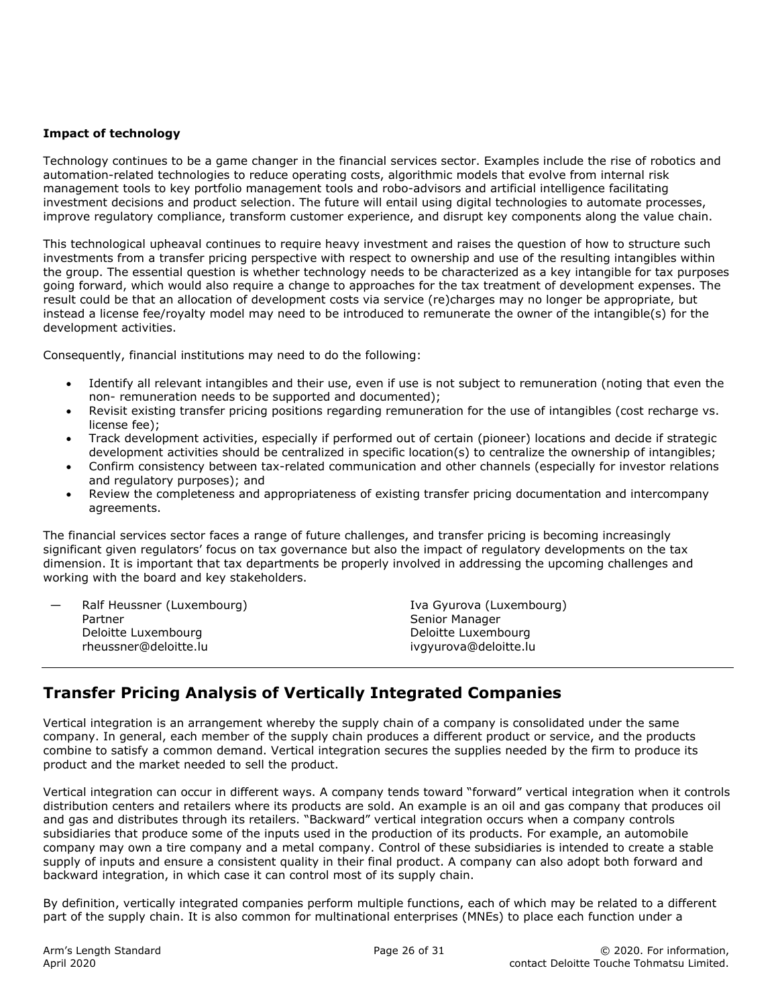#### **Impact of technology**

Technology continues to be a game changer in the financial services sector. Examples include the rise of robotics and automation-related technologies to reduce operating costs, algorithmic models that evolve from internal risk management tools to key portfolio management tools and robo-advisors and artificial intelligence facilitating investment decisions and product selection. The future will entail using digital technologies to automate processes, improve regulatory compliance, transform customer experience, and disrupt key components along the value chain.

This technological upheaval continues to require heavy investment and raises the question of how to structure such investments from a transfer pricing perspective with respect to ownership and use of the resulting intangibles within the group. The essential question is whether technology needs to be characterized as a key intangible for tax purposes going forward, which would also require a change to approaches for the tax treatment of development expenses. The result could be that an allocation of development costs via service (re)charges may no longer be appropriate, but instead a license fee/royalty model may need to be introduced to remunerate the owner of the intangible(s) for the development activities.

Consequently, financial institutions may need to do the following:

- Identify all relevant intangibles and their use, even if use is not subject to remuneration (noting that even the non- remuneration needs to be supported and documented);
- Revisit existing transfer pricing positions regarding remuneration for the use of intangibles (cost recharge vs. license fee);
- Track development activities, especially if performed out of certain (pioneer) locations and decide if strategic development activities should be centralized in specific location(s) to centralize the ownership of intangibles;
- Confirm consistency between tax-related communication and other channels (especially for investor relations and regulatory purposes); and
- Review the completeness and appropriateness of existing transfer pricing documentation and intercompany agreements.

The financial services sector faces a range of future challenges, and transfer pricing is becoming increasingly significant given regulators' focus on tax governance but also the impact of regulatory developments on the tax dimension. It is important that tax departments be properly involved in addressing the upcoming challenges and working with the board and key stakeholders.

| $\overline{\phantom{0}}$ | Ralf Heussner (Luxembourg) |
|--------------------------|----------------------------|
|                          | Partner                    |
|                          | Deloitte Luxembourg        |
|                          | rheussner@deloitte.lu      |
|                          |                            |

Iva Gyurova (Luxembourg) Senior Manager Deloitte Luxembourg ivgyurova@deloitte.lu

# **Transfer Pricing Analysis of Vertically Integrated Companies**

Vertical integration is an arrangement whereby the supply chain of a company is consolidated under the same company. In general, each member of the supply chain produces a different product or service, and the products combine to satisfy a common demand. Vertical integration secures the supplies needed by the firm to produce its product and the market needed to sell the product.

Vertical integration can occur in different ways. A company tends toward "forward" vertical integration when it controls distribution centers and retailers where its products are sold. An example is an oil and gas company that produces oil and gas and distributes through its retailers. "Backward" vertical integration occurs when a company controls subsidiaries that produce some of the inputs used in the production of its products. For example, an automobile company may own a tire company and a metal company. Control of these subsidiaries is intended to create a stable supply of inputs and ensure a consistent quality in their final product. A company can also adopt both forward and backward integration, in which case it can control most of its supply chain.

By definition, vertically integrated companies perform multiple functions, each of which may be related to a different part of the supply chain. It is also common for multinational enterprises (MNEs) to place each function under a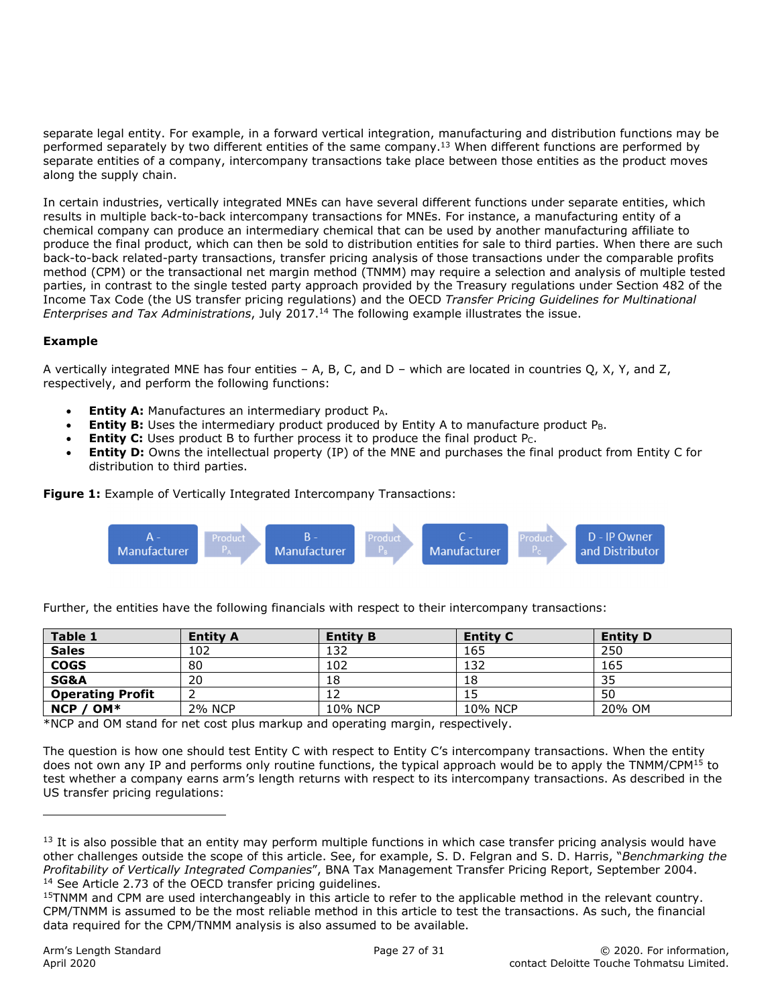separate legal entity. For example, in a forward vertical integration, manufacturing and distribution functions may be performed separately by two different entities of the same company.<sup>13</sup> When different functions are performed by separate entities of a company, intercompany transactions take place between those entities as the product moves along the supply chain.

In certain industries, vertically integrated MNEs can have several different functions under separate entities, which results in multiple back-to-back intercompany transactions for MNEs. For instance, a manufacturing entity of a chemical company can produce an intermediary chemical that can be used by another manufacturing affiliate to produce the final product, which can then be sold to distribution entities for sale to third parties. When there are such back-to-back related-party transactions, transfer pricing analysis of those transactions under the comparable profits method (CPM) or the transactional net margin method (TNMM) may require a selection and analysis of multiple tested parties, in contrast to the single tested party approach provided by the Treasury regulations under Section 482 of the Income Tax Code (the US transfer pricing regulations) and the OECD *Transfer Pricing Guidelines for Multinational Enterprises and Tax Administrations*, July 2017.14 The following example illustrates the issue.

#### **Example**

A vertically integrated MNE has four entities – A, B, C, and D – which are located in countries Q, X, Y, and Z, respectively, and perform the following functions:

- **Entity A:** Manufactures an intermediary product P<sub>A</sub>.
- **Entity B:** Uses the intermediary product produced by Entity A to manufacture product P<sub>B</sub>.
- **Entity C:** Uses product B to further process it to produce the final product Pc.
- **Entity D:** Owns the intellectual property (IP) of the MNE and purchases the final product from Entity C for distribution to third parties.

**Figure 1:** Example of Vertically Integrated Intercompany Transactions:



| Table 1                 | <b>Entity A</b> | <b>Entity B</b> | <b>Entity C</b> | <b>Entity D</b> |
|-------------------------|-----------------|-----------------|-----------------|-----------------|
| <b>Sales</b>            | 102             | 132             | 165             | 250             |
| <b>COGS</b>             | 80              | 102             | 132             | 165             |
| <b>SG&amp;A</b>         | 20              | 18              | 18              | 35              |
| <b>Operating Profit</b> |                 |                 |                 | 50              |
| OM*<br><b>NCP</b>       | <b>2% NCP</b>   | 10% NCP         | 10% NCP         | 20% OM          |

Further, the entities have the following financials with respect to their intercompany transactions:

\*NCP and OM stand for net cost plus markup and operating margin, respectively.

The question is how one should test Entity C with respect to Entity C's intercompany transactions. When the entity does not own any IP and performs only routine functions, the typical approach would be to apply the TNMM/CPM<sup>15</sup> to test whether a company earns arm's length returns with respect to its intercompany transactions. As described in the US transfer pricing regulations:

ı

 $<sup>13</sup>$  It is also possible that an entity may perform multiple functions in which case transfer pricing analysis would have</sup> other challenges outside the scope of this article. See, for example, S. D. Felgran and S. D. Harris, "*Benchmarking the Profitability of Vertically Integrated Companies"*, BNA Tax Management Transfer Pricing Report, September 2004.<br><sup>14</sup> See Article 2.73 of the OECD transfer pricing guidelines.

<sup>15</sup>TNMM and CPM are used interchangeably in this article to refer to the applicable method in the relevant country. CPM/TNMM is assumed to be the most reliable method in this article to test the transactions. As such, the financial data required for the CPM/TNMM analysis is also assumed to be available.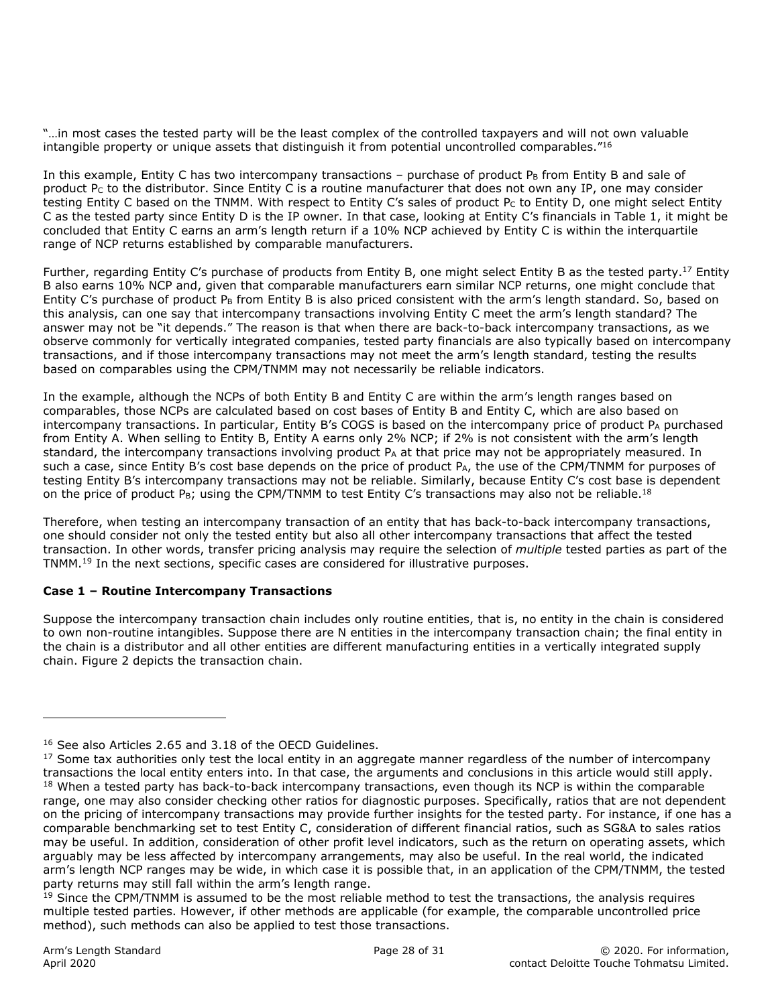"…in most cases the tested party will be the least complex of the controlled taxpayers and will not own valuable intangible property or unique assets that distinguish it from potential uncontrolled comparables. $"16$ 

In this example, Entity C has two intercompany transactions – purchase of product  $P_B$  from Entity B and sale of product  $P_C$  to the distributor. Since Entity C is a routine manufacturer that does not own any IP, one may consider testing Entity C based on the TNMM. With respect to Entity C's sales of product Pc to Entity D, one might select Entity C as the tested party since Entity D is the IP owner. In that case, looking at Entity C's financials in Table 1, it might be concluded that Entity C earns an arm's length return if a 10% NCP achieved by Entity C is within the interquartile range of NCP returns established by comparable manufacturers.

Further, regarding Entity C's purchase of products from Entity B, one might select Entity B as the tested party.<sup>17</sup> Entity B also earns 10% NCP and, given that comparable manufacturers earn similar NCP returns, one might conclude that Entity C's purchase of product P<sub>B</sub> from Entity B is also priced consistent with the arm's length standard. So, based on this analysis, can one say that intercompany transactions involving Entity C meet the arm's length standard? The answer may not be "it depends." The reason is that when there are back-to-back intercompany transactions, as we observe commonly for vertically integrated companies, tested party financials are also typically based on intercompany transactions, and if those intercompany transactions may not meet the arm's length standard, testing the results based on comparables using the CPM/TNMM may not necessarily be reliable indicators.

In the example, although the NCPs of both Entity B and Entity C are within the arm's length ranges based on comparables, those NCPs are calculated based on cost bases of Entity B and Entity C, which are also based on intercompany transactions. In particular, Entity B's COGS is based on the intercompany price of product  $P_A$  purchased from Entity A. When selling to Entity B, Entity A earns only 2% NCP; if 2% is not consistent with the arm's length standard, the intercompany transactions involving product  $P_A$  at that price may not be appropriately measured. In such a case, since Entity B's cost base depends on the price of product P<sub>A</sub>, the use of the CPM/TNMM for purposes of testing Entity B's intercompany transactions may not be reliable. Similarly, because Entity C's cost base is dependent on the price of product P<sub>B</sub>; using the CPM/TNMM to test Entity C's transactions may also not be reliable.<sup>18</sup>

Therefore, when testing an intercompany transaction of an entity that has back-to-back intercompany transactions, one should consider not only the tested entity but also all other intercompany transactions that affect the tested transaction. In other words, transfer pricing analysis may require the selection of *multiple* tested parties as part of the TNMM.19 In the next sections, specific cases are considered for illustrative purposes.

#### **Case 1 – Routine Intercompany Transactions**

Suppose the intercompany transaction chain includes only routine entities, that is, no entity in the chain is considered to own non-routine intangibles. Suppose there are N entities in the intercompany transaction chain; the final entity in the chain is a distributor and all other entities are different manufacturing entities in a vertically integrated supply chain. Figure 2 depicts the transaction chain.

ı

<sup>16</sup> See also Articles 2.65 and 3.18 of the OECD Guidelines.

 $17$  Some tax authorities only test the local entity in an aggregate manner regardless of the number of intercompany transactions the local entity enters into. In that case, the arguments and conclusions in this article would still apply. <sup>18</sup> When a tested party has back-to-back intercompany transactions, even though its NCP is within the comparable range, one may also consider checking other ratios for diagnostic purposes. Specifically, ratios that are not dependent on the pricing of intercompany transactions may provide further insights for the tested party. For instance, if one has a comparable benchmarking set to test Entity C, consideration of different financial ratios, such as SG&A to sales ratios may be useful. In addition, consideration of other profit level indicators, such as the return on operating assets, which arguably may be less affected by intercompany arrangements, may also be useful. In the real world, the indicated arm's length NCP ranges may be wide, in which case it is possible that, in an application of the CPM/TNMM, the tested party returns may still fall within the arm's length range.

<sup>&</sup>lt;sup>19</sup> Since the CPM/TNMM is assumed to be the most reliable method to test the transactions, the analysis requires multiple tested parties. However, if other methods are applicable (for example, the comparable uncontrolled price method), such methods can also be applied to test those transactions.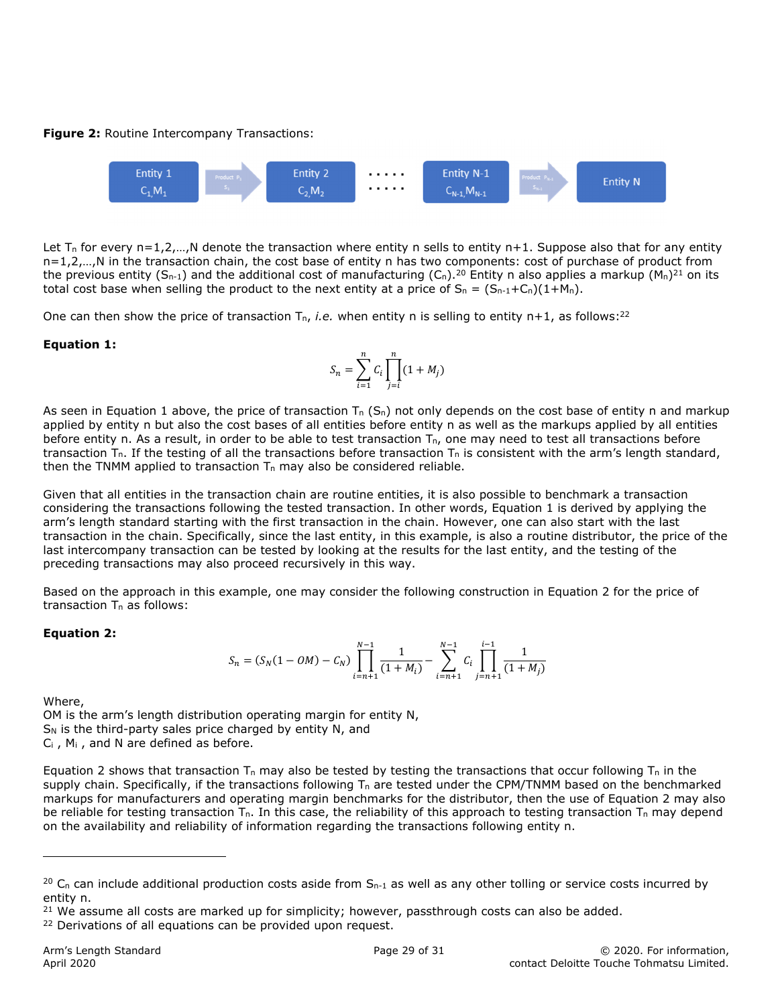#### **Figure 2:** Routine Intercompany Transactions:



Let T<sub>n</sub> for every n=1,2,...,N denote the transaction where entity n sells to entity n+1. Suppose also that for any entity n=1,2,…,N in the transaction chain, the cost base of entity n has two components: cost of purchase of product from the previous entity (S<sub>n-1</sub>) and the additional cost of manufacturing (C<sub>n</sub>).<sup>20</sup> Entity n also applies a markup (M<sub>n</sub>)<sup>21</sup> on its total cost base when selling the product to the next entity at a price of  $S_n = (S_{n-1} + C_n)(1 + M_n)$ .

One can then show the price of transaction  $T_{n}$ , *i.e.* when entity n is selling to entity n+1, as follows:<sup>22</sup>

#### **Equation 1:**

$$
S_n = \sum_{i=1}^{n} C_i \prod_{j=i}^{n} (1 + M_j)
$$

As seen in Equation 1 above, the price of transaction  $T_n(S_n)$  not only depends on the cost base of entity n and markup applied by entity n but also the cost bases of all entities before entity n as well as the markups applied by all entities before entity n. As a result, in order to be able to test transaction  $T_n$ , one may need to test all transactions before transaction  $T_n$ . If the testing of all the transactions before transaction  $T_n$  is consistent with the arm's length standard, then the TNMM applied to transaction  $T_n$  may also be considered reliable.

Given that all entities in the transaction chain are routine entities, it is also possible to benchmark a transaction considering the transactions following the tested transaction. In other words, Equation 1 is derived by applying the arm's length standard starting with the first transaction in the chain. However, one can also start with the last transaction in the chain. Specifically, since the last entity, in this example, is also a routine distributor, the price of the last intercompany transaction can be tested by looking at the results for the last entity, and the testing of the preceding transactions may also proceed recursively in this way.

Based on the approach in this example, one may consider the following construction in Equation 2 for the price of transaction  $T_n$  as follows:

#### **Equation 2:**

$$
S_n = (S_N(1 - OM) - C_N) \prod_{i=n+1}^{N-1} \frac{1}{(1 + M_i)} - \sum_{i=n+1}^{N-1} C_i \prod_{j=n+1}^{i-1} \frac{1}{(1 + M_j)}
$$

Where,

ı

OM is the arm's length distribution operating margin for entity N,  $S_N$  is the third-party sales price charged by entity N, and  $C_i$ ,  $M_i$ , and N are defined as before.

Equation 2 shows that transaction  $T_n$  may also be tested by testing the transactions that occur following  $T_n$  in the supply chain. Specifically, if the transactions following  $T_n$  are tested under the CPM/TNMM based on the benchmarked markups for manufacturers and operating margin benchmarks for the distributor, then the use of Equation 2 may also be reliable for testing transaction  $T_n$ . In this case, the reliability of this approach to testing transaction  $T_n$  may depend on the availability and reliability of information regarding the transactions following entity n.

 $^{20}$  C<sub>n</sub> can include additional production costs aside from S<sub>n-1</sub> as well as any other tolling or service costs incurred by entity n.

 $21$  We assume all costs are marked up for simplicity; however, passthrough costs can also be added.

<sup>&</sup>lt;sup>22</sup> Derivations of all equations can be provided upon request.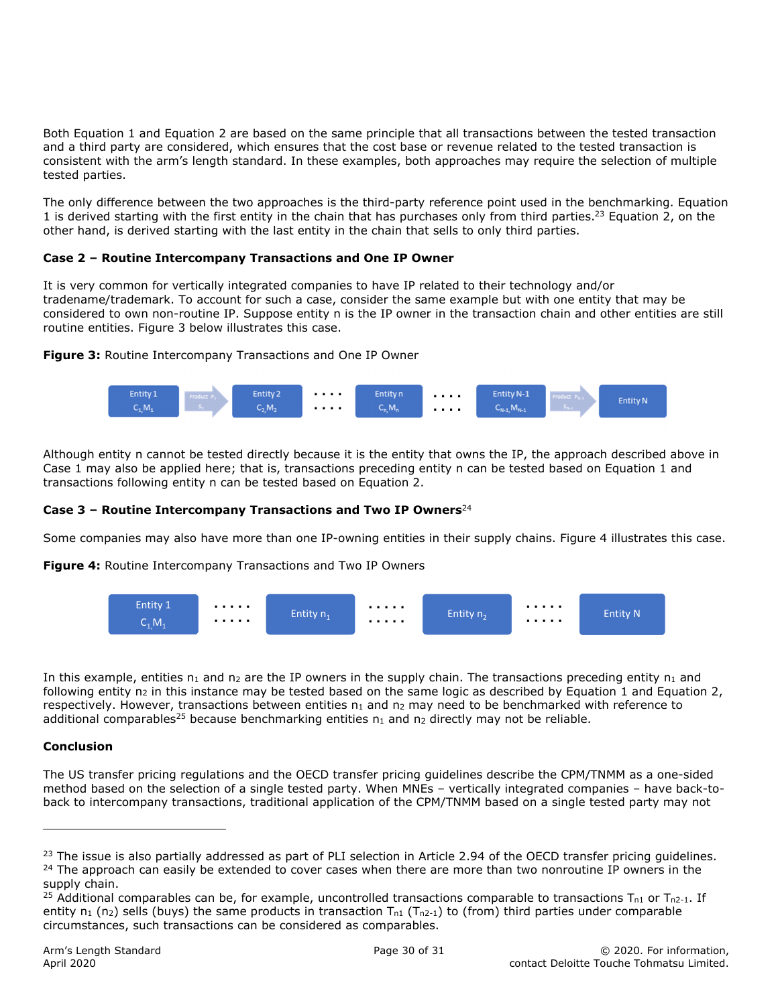Both Equation 1 and Equation 2 are based on the same principle that all transactions between the tested transaction and a third party are considered, which ensures that the cost base or revenue related to the tested transaction is consistent with the arm's length standard. In these examples, both approaches may require the selection of multiple tested parties.

The only difference between the two approaches is the third-party reference point used in the benchmarking. Equation 1 is derived starting with the first entity in the chain that has purchases only from third parties.<sup>23</sup> Equation 2, on the other hand, is derived starting with the last entity in the chain that sells to only third parties.

#### **Case 2 – Routine Intercompany Transactions and One IP Owner**

It is very common for vertically integrated companies to have IP related to their technology and/or tradename/trademark. To account for such a case, consider the same example but with one entity that may be considered to own non-routine IP. Suppose entity n is the IP owner in the transaction chain and other entities are still routine entities. Figure 3 below illustrates this case.

**Figure 3:** Routine Intercompany Transactions and One IP Owner



Although entity n cannot be tested directly because it is the entity that owns the IP, the approach described above in Case 1 may also be applied here; that is, transactions preceding entity n can be tested based on Equation 1 and transactions following entity n can be tested based on Equation 2.

#### **Case 3 – Routine Intercompany Transactions and Two IP Owners**<sup>24</sup>

Some companies may also have more than one IP-owning entities in their supply chains. Figure 4 illustrates this case.

**Figure 4:** Routine Intercompany Transactions and Two IP Owners



In this example, entities  $n_1$  and  $n_2$  are the IP owners in the supply chain. The transactions preceding entity  $n_1$  and following entity  $n_2$  in this instance may be tested based on the same logic as described by Equation 1 and Equation 2, respectively. However, transactions between entities n<sub>1</sub> and n<sub>2</sub> may need to be benchmarked with reference to additional comparables<sup>25</sup> because benchmarking entities  $n_1$  and  $n_2$  directly may not be reliable.

#### **Conclusion**

ı

The US transfer pricing regulations and the OECD transfer pricing guidelines describe the CPM/TNMM as a one-sided method based on the selection of a single tested party. When MNEs – vertically integrated companies – have back-toback to intercompany transactions, traditional application of the CPM/TNMM based on a single tested party may not

 $^{23}$  The issue is also partially addressed as part of PLI selection in Article 2.94 of the OECD transfer pricing guidelines.<br><sup>24</sup> The approach can easily be extended to cover cases when there are more than two nonroutin supply chain.

<sup>&</sup>lt;sup>25</sup> Additional comparables can be, for example, uncontrolled transactions comparable to transactions  $T_{n1}$  or  $T_{n2-1}$ . If entity  $n_1$  (n<sub>2</sub>) sells (buys) the same products in transaction  $T_{n1}$  ( $T_{n2-1}$ ) to (from) third parties under comparable circumstances, such transactions can be considered as comparables.